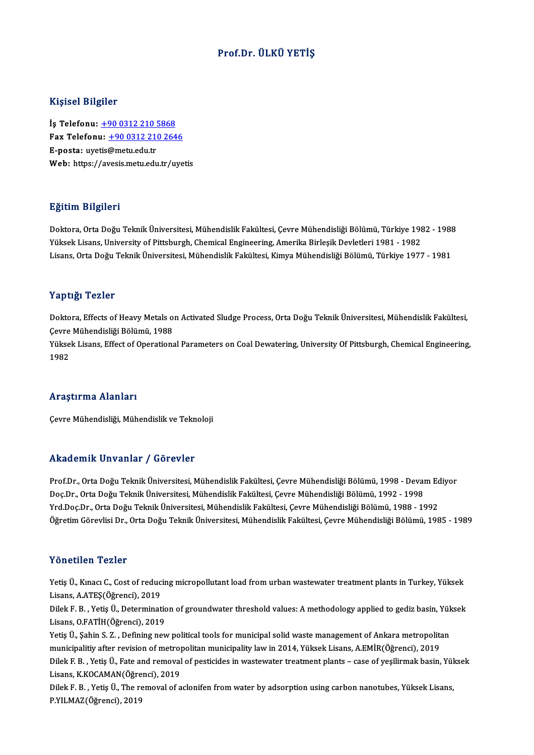#### Prof.Dr. ÜLKÜ YETİŞ

#### Kişisel Bilgiler

Kişisel Bilgiler<br>İş Telefonu: <u>+90 0312 210 5868</u><br>Fax Telefonu: 190 0312 210 264 1191001 D1191101<br>İş Telefonu: <u>+90 0312 210 5868</u><br>Fax Telefonu: +90 0312 210 2646<br>F. nosta: wystis@metu.edu.tr İş Telefonu: <u>+90 0312 210 !</u><br>Fax Telefonu: <u>+90 0312 210</u><br>E-posta: uye[tis@metu.edu.tr](tel:+90 0312 210 5868)<br>Web: bttps://avesis.metu.edu.tr Fax Telefonu: <u>+90 0312 210 2646</u><br>E-posta: uyetis@metu.edu.tr<br>Web: https://a[vesis.metu.edu.tr/uye](tel:+90 0312 210 2646)tis

#### Eğitim Bilgileri

**Eğitim Bilgileri**<br>Doktora, Orta Doğu Teknik Üniversitesi, Mühendislik Fakültesi, Çevre Mühendisliği Bölümü, Türkiye 1982 - 1988<br>Yüksek Lisans, University of Bittsbursh, Chamisel Engineering, Amerika Birkesik Devletleri 19 25.0000 2015.0000<br>Doktora, Orta Doğu Teknik Üniversitesi, Mühendislik Fakültesi, Çevre Mühendisliği Bölümü, Türkiye 198<br>Yüksek Lisans, University of Pittsburgh, Chemical Engineering, Amerika Birleşik Devletleri 1981 - 1982 Doktora, Orta Doğu Teknik Üniversitesi, Mühendislik Fakültesi, Çevre Mühendisliği Bölümü, Türkiye 1982 - 1988<br>Yüksek Lisans, University of Pittsburgh, Chemical Engineering, Amerika Birleşik Devletleri 1981 - 1982<br>Lisans, O Lisans, Orta Doğu Teknik Üniversitesi, Mühendislik Fakültesi, Kimya Mühendisliği Bölümü, Türkiye 1977 - 1981<br>Yaptığı Tezler

Yaptığı Tezler<br>Doktora, Effects of Heavy Metals on Activated Sludge Process, Orta Doğu Teknik Üniversitesi, Mühendislik Fakültesi,<br>Ceure Mühendisliği Pölümü, 1999 Tup ergi<br>Doktora, Effects of Heavy Metals of<br>Çevre Mühendisliği Bölümü, 1988<br>Vültselt Lisans, Effect of Operations Doktora, Effects of Heavy Metals on Activated Sludge Process, Orta Doğu Teknik Üniversitesi, Mühendislik Fakültesi,<br>Çevre Mühendisliği Bölümü, 1988<br>Yüksek Lisans, Effect of Operational Parameters on Coal Dewatering, Univer

Çevre Mühendisliği Bölümü, 1988<br>Yüksek Lisans, Effect of Operational Parameters on Coal Dewatering, University Of Pittsburgh, Chemical Engineering,<br>1982

#### Araştırma Alanları

Çevre Mühendisliği, Mühendislik ve Teknoloji

#### Akademik Unvanlar / Görevler

Akademik Unvanlar / Görevler<br>Prof.Dr., Orta Doğu Teknik Üniversitesi, Mühendislik Fakültesi, Çevre Mühendisliği Bölümü, 1998 - Devam Ediyor<br>Des Dr., Orta Doğu Teknik Üniversitesi, Mühendislik Fakültesi, Çevre Mühendisliği rrittu timin Sirvuniur 7 dörevler<br>Prof.Dr., Orta Doğu Teknik Üniversitesi, Mühendislik Fakültesi, Çevre Mühendisliği Bölümü, 1998 - Devai<br>Vrd Doo Dr., Orta Doğu Teknik Üniversitesi, Mühendislik Fakültesi, Çevre Mühendisliğ Prof.Dr., Orta Doğu Teknik Üniversitesi, Mühendislik Fakültesi, Çevre Mühendisliği Bölümü, 1998 - Devam Ec<br>Doç.Dr., Orta Doğu Teknik Üniversitesi, Mühendislik Fakültesi, Çevre Mühendisliği Bölümü, 1992 - 1998<br>Yrd.Doç.Dr., Doç.Dr., Orta Doğu Teknik Üniversitesi, Mühendislik Fakültesi, Çevre Mühendisliği Bölümü, 1992 - 1998<br>Yrd.Doç.Dr., Orta Doğu Teknik Üniversitesi, Mühendislik Fakültesi, Çevre Mühendisliği Bölümü, 1988 - 1992<br>Öğretim Görevl

#### Yönetilen Tezler

Yönetilen Tezler<br>Yetiş Ü., Kınacı C., Cost of reducing micropollutant load from urban wastewater treatment plants in Turkey, Yüksek<br>Lisans, A.ATES(Öğrensi), 2019 1 oncenen 1 once<br>Yetiş Ü., Kınacı C., Cost of reduc<br>Lisans, A.ATEŞ(Öğrenci), 2019<br>Dilek E. B., Yetiş Ü. Determinat Yetiş Ü., Kınacı C., Cost of reducing micropollutant load from urban wastewater treatment plants in Turkey, Yüksek<br>Lisans, A.ATEŞ(Öğrenci), 2019<br>Dilek F. B. , Yetiş Ü., Determination of groundwater threshold values: A meth

Lisans, A.ATEŞ(Öğrenci), 2019<br>Dilek F. B. , Yetiş Ü., Determinatic<br>Lisans, O.FATİH(Öğrenci), 2019<br>Yetiş Ü. Sahin S. 7. Defining nav Dilek F. B. , Yetiş Ü., Determination of groundwater threshold values: A methodology applied to gediz basin, Yük<br>Lisans, O.FATİH(Öğrenci), 2019<br>Yetiş Ü., Şahin S. Z. , Defining new political tools for municipal solid waste

Lisans, O.FATİH(Öğrenci), 2019<br>Yetiş Ü., Şahin S. Z. , Defining new political tools for municipal solid waste management of Ankara metropolitan<br>municipalitiy after revision of metropolitan municipality law in 2014, Yüksek Yetiş Ü., Şahin S. Z. , Defining new political tools for municipal solid waste management of Ankara metropolitan<br>municipalitiy after revision of metropolitan municipality law in 2014, Yüksek Lisans, A.EMİR(Öğrenci), 2019<br>D municipalitiy after revision of metrop<br>Dilek F. B. , Yetiş Ü., Fate and removal<br>Lisans, K.KOCAMAN(Öğrenci), 2019<br>Dilek E. B., Vetiş Ü., The removal of a Dilek F. B. , Yetiş Ü., Fate and removal of pesticides in wastewater treatment plants – case of yeşilirmak basin, Yül<br>Lisans, K.KOCAMAN(Öğrenci), 2019<br>Dilek F. B. , Yetiş Ü., The removal of aclonifen from water by adsorpti

Lisans, K.KOCAMAN(Öğrenci), 2019<br>Dilek F. B. , Yetiş Ü., The removal of aclonifen from water by adsorption using carbon nanotubes, Yüksek Lisans,<br>P.YILMAZ(Öğrenci), 2019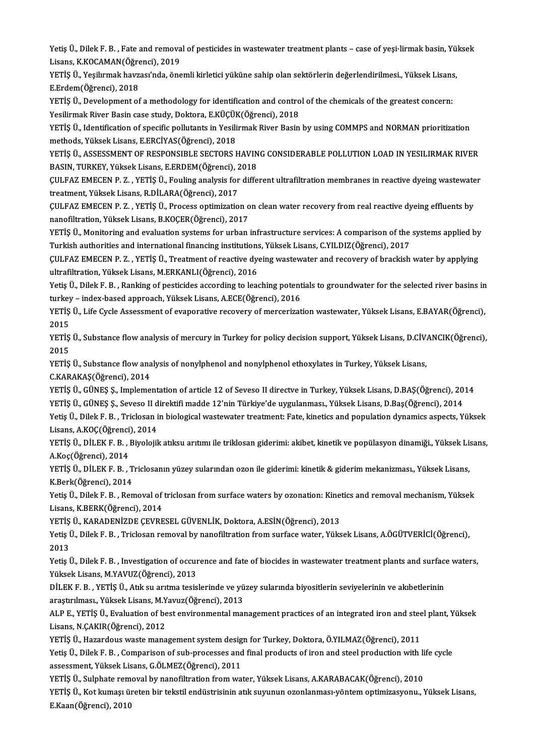Yetiş Ü., Dilek F. B. , Fate and removal of pesticides in wastewater treatment plants – case of yeşi·lirmak basin, Yüksek<br>Lisans KKOCAMAN(Öğrensi), 2019 Yetiş Ü., Dilek F. B. , Fate and remova<br>Lisans, K.KOCAMAN(Öğrenci), 2019<br>VETİS Ü. Yesilumak beyreev'nde, öne Yetiş Ü., Dilek F. B. , Fate and removal of pesticides in wastewater treatment plants – case of yeşi·lirmak basin, Yü<br>Lisans, K.KOCAMAN(Öğrenci), 2019<br>YETİŞ Ü., Yeşilırmak havzası'nda, önemli kirletici yüküne sahip olan se

Lisans, K.KOCAMAN(Öğre<br>YETİŞ Ü., Yeşilırmak havz<br>E.Erdem(Öğrenci), 2018<br>YETİS Ü. Develenment ef YETİŞ Ü., Yeşilırmak havzası'nda, önemli kirletici yüküne sahip olan sektörlerin değerlendirilmesi., Yüksek Lisans<br>E.Erdem(Öğrenci), 2018<br>YETİŞ Ü., Development of a methodology for identification and control of the chemica

E.Erdem(Öğrenci), 2018<br>YETİŞ Ü., Development of a methodology for identification and control of the chemicals of the greatest concern:<br>Yesilirmak River Basin case study, Doktora, E.KÜÇÜK(Öğrenci), 2018 YETİŞ Ü., Development of a methodology for identification and control of the chemicals of the greatest concern:<br>Yesilirmak River Basin case study, Doktora, E.KÜÇÜK(Öğrenci), 2018<br>YETİŞ Ü., Identification of specific pollut

Yesilirmak River Basin case study, Doktora, E.KÜÇÜF<br>YETİŞ Ü., Identification of specific pollutants in Yesili<br>methods, Yüksek Lisans, E.ERCİYAS(Öğrenci), 2018<br>YETİS Ü. ASSESSMENT OE PESPONSIPLE SECTOPS L

methods, Yüksek Lisans, E.ERCİYAS(Öğrenci), 2018<br>YETİS Ü., ASSESSMENT OF RESPONSIBLE SECTORS HAVING CONSIDERABLE POLLUTION LOAD IN YESILIRMAK RIVER methods, Yüksek Lisans, E.ERCİYAS(Öğrenci), 2018<br>YETİŞ Ü., ASSESSMENT OF RESPONSIBLE SECTORS HAVIN<br>BASIN, TURKEY, Yüksek Lisans, E.ERDEM(Öğrenci), 2018<br>CULEAZ EMECEN B. Z., YETİŞ Ü. Fouling analysis for diffe YETİŞ Ü., ASSESSMENT OF RESPONSIBLE SECTORS HAVING CONSIDERABLE POLLUTION LOAD IN YESILIRMAK RIVER<br>BASIN, TURKEY, Yüksek Lisans, E.ERDEM(Öğrenci), 2018<br>ÇULFAZ EMECEN P. Z. , YETİŞ Ü., Fouling analysis for different ultrafi

BASIN, TURKEY, Yüksek Lisans, E.ERDEM(Öğrenci), 2<br>ÇULFAZ EMECEN P. Z. , YETİŞ Ü., Fouling analysis for<br>treatment, Yüksek Lisans, R.DİLARA(Öğrenci), 2017<br>CULEAZ EMECEN B. Z., YETİŞ Ü. Process ontimizatle ÇULFAZ EMECEN P. Z. , YETİŞ Ü., Fouling analysis for different ultrafiltration membranes in reactive dyeing wastewate<br>treatment, Yüksek Lisans, R.DİLARA(Öğrenci), 2017<br>ÇULFAZ EMECEN P. Z. , YETİŞ Ü., Process optimization o

treatment, Yüksek Lisans, R.DİLARA(Öğrenci), 2017<br>ÇULFAZ EMECEN P. Z. , YETİŞ Ü., Process optimization on clean water recovery from real reactive dyeing effluents by<br>nanofiltration, Yüksek Lisans, B.KOÇER(Öğrenci), 2017 ÇULFAZ EMECEN P. Z. , YETİŞ Ü., Process optimization on clean water recovery from real reactive dyeing effluents by<br>nanofiltration, Yüksek Lisans, B.KOÇER(Öğrenci), 2017<br>YETİŞ Ü., Monitoring and evaluation systems for urba

nanofiltration, Yüksek Lisans, B.KOÇER(Öğrenci), 2017<br>YETİŞ Ü., Monitoring and evaluation systems for urban infrastructure services: A comparison of the<br>Turkish authorities and international financing institutions, Yüksek YETİŞ Ü., Monitoring and evaluation systems for urban infrastructure services: A comparison of the systems applied by<br>Turkish authorities and international financing institutions, Yüksek Lisans, C.YILDIZ(Öğrenci), 2017<br>ÇUL

Turkish authorities and international financing institutions, Yüksek Lisans, C.YILDIZ(Öğrenci), 2017<br>ÇULFAZ EMECEN P. Z. , YETİŞ Ü., Treatment of reactive dyeing wastewater and recovery of brackish water by applying<br>ultraf CULFAZ EMECEN P. Z. , YETİŞ Ü., Treatment of reactive dyeing wastewater and recovery of brackish water by applying<br>ultrafiltration, Yüksek Lisans, M.ERKANLI(Öğrenci), 2016<br>Yetiş Ü., Dilek F. B. , Ranking of pesticides acco

ultrafiltration, Yüksek Lisans, M.ERKANLI(Öğrenci), 2016<br>Yetiş Ü., Dilek F. B. , Ranking of pesticides according to leaching potent<br>turkey – index-based approach, Yüksek Lisans, A.ECE(Öğrenci), 2016<br>YETİŞ Ü. Life Cyala Ass Yetiş Ü., Dilek F. B. , Ranking of pesticides according to leaching potentials to groundwater for the selected river basins in<br>turkey – index-based approach, Yüksek Lisans, A.ECE(Öğrenci), 2016<br>YETİŞ Ü., Life Cycle Assessm

turkey – index-based approach, Yüksek Lisans, A.ECE(Öğrenci), 2016<br>YETİŞ Ü., Life Cycle Assessment of evaporative recovery of mercerization wastewater, Yüksek Lisans, E.BAYAR(Öğrenci),<br>2015 YETİŞ Ü., Life Cycle Assessment of evaporative recovery of mercerization wastewater, Yüksek Lisans, E.BAYAR(Öğrenci),<br>2015<br>YETİŞ Ü., Substance flow analysis of mercury in Turkey for policy decision support, Yüksek Lisans,

2015<br>YETİŞ<br>2015<br><sub>VETİS</sub> YETİŞ Ü., Substance flow analysis of mercury in Turkey for policy decision support, Yüksek Lisans, D.CİV.<br>2015<br>YETİŞ Ü., Substance flow analysis of nonylphenol and nonylphenol ethoxylates in Turkey, Yüksek Lisans,<br>C.KARAKA

2015<br>YETİŞ Ü., Substance flow analysis of nonylphenol and nonylphenol ethoxylates in Turkey, Yüksek Lisans,<br>C.KARAKAŞ(Öğrenci), 2014

YETİŞ Ü., Substance flow analysis of nonylphenol and nonylphenol ethoxylates in Turkey, Yüksek Lisans,<br>C.KARAKAŞ(Öğrenci), 2014<br>YETİŞ Ü., GÜNEŞ Ş., Implementation of article 12 of Seveso II directve in Turkey, Yüksek Lisan C.KARAKAŞ(Öğrenci), 2014<br>YETİŞ Ü., GÜNEŞ Ş., Implementation of article 12 of Seveso II directve in Turkey, Yüksek Lisans, D.BAŞ(Öğrenci), 20<br>YETİŞ Ü., GÜNEŞ Ş., Seveso II direktifi madde 12'nin Türkiye'de uygulanması., Yük

YETİŞ Ü., GÜNEŞ Ş., Implementation of article 12 of Seveso II directve in Turkey, Yüksek Lisans, D.BAŞ(Öğrenci), 2014<br>YETİŞ Ü., GÜNEŞ Ş., Seveso II direktifi madde 12'nin Türkiye'de uygulanması., Yüksek Lisans, D.Baş(Öğren YETİŞ Ü., GÜNEŞ Ş., Seveso II d<br>Yetiş Ü., Dilek F. B. , Triclosan i<br>Lisans, A.KOÇ(Öğrenci), 2014<br>YETİS Ü. DiLEK'E B. Biyolajil Yetiş Ü., Dilek F. B. , Triclosan in biological wastewater treatment: Fate, kinetics and population dynamics aspects, Yüksek<br>Lisans, A.KOÇ(Öğrenci), 2014<br>YETİŞ Ü., DİLEK F. B. , Biyolojik atıksu arıtımı ile triklosan gider

Lisans, A.KOÇ(Öğrenci), 2014<br>YETİŞ Ü., DİLEK F. B. , Biyolojik atıksu arıtımı ile triklosan giderimi: akibet, kinetik ve popülasyon dinamiği., Yüksek Lisans,<br>A.Koç(Öğrenci), 2014 YETİŞ Ü., DİLEK F. B. , Biyolojik atıksu arıtımı ile triklosan giderimi: akibet, kinetik ve popülasyon dinamiği., Yüksek Lis<br>A.Koç(Öğrenci), 2014<br>YETİŞ Ü., DİLEK F. B. , Triclosanın yüzey sularından ozon ile giderimi: kine

A.Koç(Öğrenci), 2014<br>YETİŞ Ü., DİLEK F. B. , T<br>K.Berk(Öğrenci), 2014<br>Yetiş Ü. Dilek E. B. Ben YETİŞ Ü., DİLEK F. B. , Triclosanın yüzey sularından ozon ile giderimi: kinetik & giderim mekanizması., Yüksek Lisans,<br>K.Berk(Öğrenci), 2014<br>Yetiş Ü., Dilek F. B. , Removal of triclosan from surface waters by ozonation: Ki

K.Berk(Öğrenci), 2014<br>Yetiş Ü., Dilek F. B. , Removal of<br>Lisans, K.BERK(Öğrenci), 2014<br>YETİS Ü. KARADENİZDE CEVRE Yetiş Ü., Dilek F. B. , Removal of triclosan from surface waters by ozonation: Kine<br>Lisans, K.BERK(Öğrenci), 2014<br>YETİŞ Ü., KARADENİZDE ÇEVRESEL GÜVENLİK, Doktora, A.ESİN(Öğrenci), 2013<br>Yetiş Ü. Dilek E. B., Trislesan reme

Lisans, K.BERK(Öğrenci), 2014<br>YETİŞ Ü., KARADENİZDE ÇEVRESEL GÜVENLİK, Doktora, A.ESİN(Öğrenci), 2013<br>Yetiş Ü., Dilek F. B. , Triclosan removal by nanofiltration from surface water, Yüksek Lisans, A.ÖGÜTVERİCİ(Öğrenci),<br>20 YETİŞ<br>Yetiş İ<br>2013<br>Yetiş İ Yetiş Ü., Dilek F. B. , Triclosan removal by nanofiltration from surface water, Yüksek Lisans, A.ÖGÜTVERİCİ(Öğrenci),<br>2013<br>Yetiş Ü., Dilek F. B. , Investigation of occurence and fate of biocides in wastewater treatment pla

2013<br>Yetiş Ü., Dilek F. B. , Investigation of occurence and fate of biocides in wastewater treatment plants and surface waters,<br>Yüksek Lisans, M.YAVUZ(Öğrenci), 2013 Yetiş Ü., Dilek F. B. , Investigation of occurence and fate of biocides in wastewater treatment plants and surface<br>Yüksek Lisans, M.YAVUZ(Öğrenci), 2013<br>DİLEK F. B. , YETİŞ Ü., Atık su arıtma tesislerinde ve yüzey sularınd

Yüksek Lisans, M.YAVUZ(Öğrenci), 2013<br>DİLEK F. B. , YETİŞ Ü., Atık su arıtma tesislerinde ve yü<br>araştırılması., Yüksek Lisans, M.Yavuz(Öğrenci), 2013<br>ALB E. VETİŞ Ü. Evaluation of best envirenmentel met DİLEK F. B. , YETİŞ Ü., Atık su arıtma tesislerinde ve yüzey sularında biyositlerin seviyelerinin ve akıbetlerinin<br>araştırılması., Yüksek Lisans, M.Yavuz(Öğrenci), 2013<br>ALP E., YETİŞ Ü., Evaluation of best environmental ma

araştırılması., Yüksek Lisans, M.Yavuz(Öğrenci), 2013<br>ALP E., YETİŞ Ü., Evaluation of best environmental ma<br>Lisans, N.ÇAKIR(Öğrenci), 2012 ALP E., YETİŞ Ü., Evaluation of best environmental management practices of an integrated iron and steel plant, Yüksek

Lisans, N.ÇAKIR(Öğrenci), 2012<br>YETİŞ Ü., Hazardous waste management system design for Turkey, Doktora, Ö.YILMAZ(Öğrenci), 2011<br>Yetiş Ü., Dilek F. B. , Comparison of sub-processes and final products of iron and steel produc YETİŞ Ü., Hazardous waste management system design for Turkey, Doktora, Ö.YILMAZ(Öğrenci), 2011<br>Yetiş Ü., Dilek F. B. , Comparison of sub-processes and final products of iron and steel production with l<br>assessment, Yüksek Yetiş Ü., Dilek F. B. , Comparison of sub-processes and final products of iron and steel production with li<br>assessment, Yüksek Lisans, G.ÖLMEZ(Öğrenci), 2011<br>YETİŞ Ü., Sulphate removal by nanofiltration from water, Yüksek

assessment, Yüksek Lisans, G.ÖLMEZ(Öğrenci), 2011<br>YETİŞ Ü., Sulphate removal by nanofiltration from water, Yüksek Lisans, A.KARABACAK(Öğrenci), 2010<br>YETİŞ Ü., Kot kumaşı üreten bir tekstil endüstrisinin atık suyunun ozonla YETİŞ Ü., Sulphate rem<br>YETİŞ Ü., Kot kumaşı üı<br>E.Kaan(Öğrenci), 2010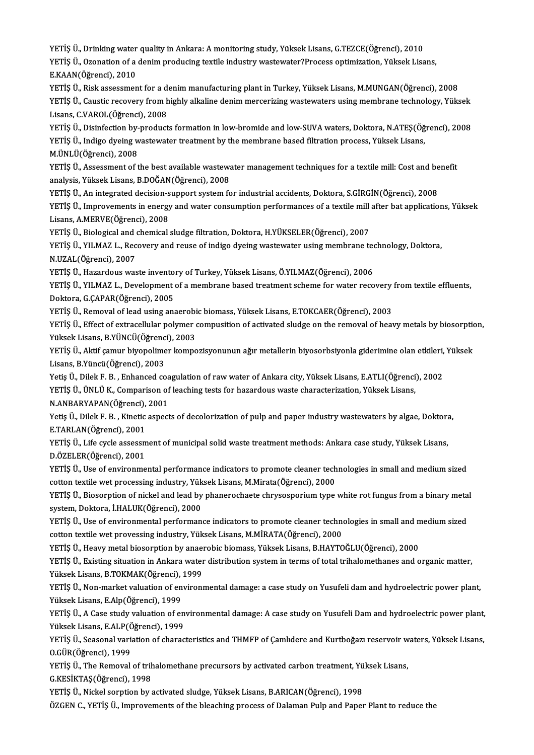YETİŞ Ü., Drinking water quality in Ankara: A monitoring study, Yüksek Lisans, G.TEZCE(Öğrenci), 2010<br>YETİŞ Ü. Oranation of a danim producing taytile industry yınatayıstar?Process optimization, Yüksek Lisa YETİŞ Ü., Ozonation of a denim producing textile industry wastewater?Process optimization, Yüksek Lisans,<br>E.KAAN(Öğrenci), 2010 YETİŞ Ü., Drinking water<br>YETİŞ Ü., Ozonation of a<br>E.KAAN(Öğrenci), 2010<br>YETİS Ü., Biak assasaman

YETİŞ Ü., Ozonation of a denim producing textile industry wastewater?Process optimization, Yüksek Lisans,<br>E.KAAN(Öğrenci), 2010<br>YETİŞ Ü., Risk assessment for a denim manufacturing plant in Turkey, Yüksek Lisans, M.MUNGAN(Ö YETİŞ Ü., Caustic recovery from highly alkaline denim mercerizing wastewaters using membrane technology, Yüksek<br>Lisans, C.VAROL(Öğrenci), 2008 YETİŞ Ü., Risk assessment for a d<br>YETİŞ Ü., Caustic recovery from h<br>Lisans, C.VAROL(Öğrenci), 2008<br>YETİS Ü. Disinfection bu product YETİŞ Ü., Caustic recovery from highly alkaline denim mercerizing wastewaters using membrane technology, Yüksek<br>Lisans, C.VAROL(Öğrenci), 2008<br>YETİŞ Ü., Disinfection by-products formation in low-bromide and low-SUVA waters

Lisans, C.VAROL(Öğrenci), 2008<br>YETİŞ Ü., Disinfection by-products formation in low-bromide and low-SUVA waters, Doktora, N.ATEŞ(Öğ<br>YETİŞ Ü., Indigo dyeing wastewater treatment by the membrane based filtration process, Yüks YETİŞ Ü., Disinfection by-<br>YETİŞ Ü., Indigo dyeing w<br>M.ÜNLÜ(Öğrenci), 2008<br>YETİS Ü. Assessment of t YETİŞ Ü., Indigo dyeing wastewater treatment by the membrane based filtration process, Yüksek Lisans,<br>M.ÜNLÜ(Öğrenci), 2008<br>YETİŞ Ü., Assessment of the best available wastewater management techniques for a textile mill: Co

M.ÜNLÜ(Öğrenci), 2008<br>YETİŞ Ü., Assessment of the best available wastewa<br>analysis, Yüksek Lisans, B.DOĞAN(Öğrenci), 2008<br>YETİŞ Ü. An integrated desision sunnert system fo YETİŞ Ü., Assessment of the best available wastewater management techniques for a textile mill: Cost and be<br>analysis, Yüksek Lisans, B.DOĞAN(Öğrenci), 2008<br>YETİŞ Ü., An integrated decision-support system for industrial acc

analysis, Yüksek Lisans, B.DOĞAN(Öğrenci), 2008<br>YETİŞ Ü., An integrated decision-support system for industrial accidents, Doktora, S.GİRGİN(Öğrenci), 2008<br>YETİŞ Ü., Improvements in energy and water consumption performances YETİŞ Ü., An integrated decision-support system for industrial accidents, Doktora, S.GİRGİN(Öğrenci), 2008<br>YETİŞ Ü., Improvements in energy and water consumption performances of a textile mill after bat applicatic<br>Lisans, YETİŞ Ü., Improvements in energy and water consumption performances of a textile mill<br>Lisans, A.MERVE(Öğrenci), 2008<br>YETİŞ Ü., Biological and chemical sludge filtration, Doktora, H.YÜKSELER(Öğrenci), 2007<br>YETİŞ Ü. VILMAZ L

Lisans, A.MERVE(Öğrenci), 2008<br>YETİŞ Ü., Biological and chemical sludge filtration, Doktora, H.YÜKSELER(Öğrenci), 2007<br>YETİŞ Ü., YILMAZ L., Recovery and reuse of indigo dyeing wastewater using membrane technology, Doktora, YETİŞ Ü., Biological and chemical sludge filtration, Doktora, H.YÜKSELER(Öğrenci), 2007<br>YETİŞ Ü., YILMAZ L., Recovery and reuse of indigo dyeing wastewater using membrane te<br>N.UZAL(Öğrenci), 2007<br>YETİS Ü., Hazardous waste YETİŞ Ü., YILMAZ L., Recovery and reuse of indigo dyeing wastewater using membrane teo<br>N.UZAL(Öğrenci), 2007<br>YETİŞ Ü., Hazardous waste inventory of Turkey, Yüksek Lisans, Ö.YILMAZ(Öğrenci), 2006<br>YETİŞ Ü. VILMAZ L., Dovelop

N.UZAL(Öğrenci), 2007<br>YETİŞ Ü., Hazardous waste inventory of Turkey, Yüksek Lisans, Ö.YILMAZ(Öğrenci), 2006<br>YETİŞ Ü., YILMAZ L., Development of a membrane based treatment scheme for water recovery from textile effluents, Doktora, G.ÇAPAR(Öğrenci), 2005<br>YETİŞ Ü., Removal of lead using anaerobic biomass, Yüksek Lisans, E.TOKCAER(Öğrenci), 2003 YETİŞ Ü., YILMAZ L., Development of a membrane based treatment scheme for water recovery<br>Doktora, G.ÇAPAR(Öğrenci), 2005<br>YETİŞ Ü., Removal of lead using anaerobic biomass, Yüksek Lisans, E.TOKCAER(Öğrenci), 2003<br>YETİŞ Ü. E

Doktora, G.ÇAPAR(Öğrenci), 2005<br>YETİŞ Ü., Removal of lead using anaerobic biomass, Yüksek Lisans, E.TOKCAER(Öğrenci), 2003<br>YETİŞ Ü., Effect of extracellular polymer compusition of activated sludge on the removal of heavy m YETİŞ Ü., Removal of lead using anaerobi<br>YETİŞ Ü., Effect of extracellular polymer<br>Yüksek Lisans, B.YÜNCÜ(Öğrenci), 2003<br>YETİS Ü. Aktif camur biyonolimar kompo YETİŞ Ü., Effect of extracellular polymer compusition of activated sludge on the removal of heavy metals by biosorptic<br>Yüksek Lisans, B.YÜNCÜ(Öğrenci), 2003<br>YETİŞ Ü., Aktif çamur biyopolimer kompozisyonunun ağır metallerin

Yüksek Lisans, B.YÜNCÜ(Öğrenc<br>YETİŞ Ü., Aktif çamur biyopolime<br>Lisans, B.Yüncü(Öğrenci), 2003<br>Yetiş Ü. Dilek E. B., Enhansed se YETİŞ Ü., Aktif çamur biyopolimer kompozisyonunun ağır metallerin biyosorbsiyonla giderimine olan etkileri, Yüksek<br>Lisans, B.Yüncü(Öğrenci), 2003<br>Yetiş Ü., Dilek F. B. , Enhanced coagulation of raw water of Ankara city, Yü

Lisans, B.Yüncü(Öğrenci), 2003<br>Yetiş Ü., Dilek F. B. , Enhanced coagulation of raw water of Ankara city, Yüksek Lisans, E.ATLI(Öğrenci<br>YETİŞ Ü., ÜNLÜ K., Comparison of leaching tests for hazardous waste characterization, Y Yetiş Ü., Dilek F. B. , Enhanced coa<br>YETİŞ Ü., ÜNLÜ K., Comparison of<br>N.ANBARYAPAN(Öğrenci), 2001<br>Yetiş Ü. Dilek E. B., Kinatis seneci

YETİŞ Ü., ÜNLÜ K., Comparison of leaching tests for hazardous waste characterization, Yüksek Lisans,<br>N.ANBARYAPAN(Öğrenci), 2001<br>Yetiş Ü., Dilek F. B. , Kinetic aspects of decolorization of pulp and paper industry wastewat N.ANBARYAPAN(Öğrenci),<br>Yetiş Ü., Dilek F. B. , Kinetic<br>E.TARLAN(Öğrenci), 2001<br>YETİS Ü. Life avele assessam Yetiş Ü., Dilek F. B. , Kinetic aspects of decolorization of pulp and paper industry wastewaters by algae, Doktora<br>E.TARLAN(Öğrenci), 2001<br>YETİŞ Ü., Life cycle assessment of municipal solid waste treatment methods: Ankara

E.TARLAN(Öğrenci), 2001<br>YETİŞ Ü., Life cycle assessment of municipal solid waste treatment methods: Ankara case study, Yüksek Lisans,<br>D.ÖZELER(Öğrenci), 2001 YETİŞ Ü., Life cycle assessment of municipal solid waste treatment methods: Ankara case study, Yüksek Lisans,<br>D.ÖZELER(Öğrenci), 2001<br>YETİŞ Ü., Use of environmental performance indicators to promote cleaner technologies in

D.ÖZELER(Öğrenci), 2001<br>YETİŞ Ü., Use of environmental performance indicators to promote cleaner tech<br>cotton textile wet processing industry, Yüksek Lisans, M.Mirata(Öğrenci), 2000<br>YETİŞ Ü. Pisserntian of niskel and leed b YETİŞ Ü., Use of environmental performance indicators to promote cleaner technologies in small and medium sized<br>cotton textile wet processing industry, Yüksek Lisans, M.Mirata(Öğrenci), 2000<br>YETİŞ Ü., Biosorption of nickel

cotton textile wet processing industry, Yük<br>YETİŞ Ü., Biosorption of nickel and lead by<br>system, Doktora, İ.HALUK(Öğrenci), 2000<br>VETİS Ü. Has of anviranmentel performan YETİŞ Ü., Biosorption of nickel and lead by phanerochaete chrysosporium type white rot fungus from a binary meta<br>system, Doktora, İ.HALUK(Öğrenci), 2000<br>YETİŞ Ü., Use of environmental performance indicators to promote clea

system, Doktora, İ.HALUK(Öğrenci), 2000<br>YETİŞ Ü., Use of environmental performance indicators to promote cleaner technologies in small and r<br>cotton textile wet provessing industry, Yüksek Lisans, M.MİRATA(Öğrenci), 2000<br>YE YETİŞ Ü., Use of environmental performance indicators to promote cleaner technologies in small and medium sized

YETİŞ Ü., Existing situation in Ankara water distribution system in terms of total trihalomethanes and organic matter, YETİŞ Ü., Heavy metal biosorption by anael<br>YETİŞ Ü., Existing situation in Ankara water<br>Yüksek Lisans, B.TOKMAK(Öğrenci), 1999<br>YETİS Ü. Non markat valuation of onvironı

YETİŞ Ü., Non-market valuation of environmental damage: a case study on Yusufeli dam and hydroelectric power plant,<br>Yüksek Lisans, E.Alp(Öğrenci), 1999 Yüksek Lisans, B.TOKMAK(Öğrenci),<br>YETİŞ Ü., Non-market valuation of en<br>Yüksek Lisans, E.Alp(Öğrenci), 1999<br>YETİS Ü. A Case studu valuation of er YETİŞ Ü., Non-market valuation of environmental damage: a case study on Yusufeli dam and hydroelectric power plant,<br>Yüksek Lisans, E.Alp(Öğrenci), 1999<br>YETİŞ Ü., A Case study valuation of environmental damage: A case study

Yüksek Lisans, E.Alp(Öğrenci), 1999<br>YETİŞ Ü., A Case study valuation of en<br>Yüksek Lisans, E.ALP(Öğrenci), 1999<br>YETİS Ü. Seesenal variation of shanas YETİŞ Ü., A Case study valuation of environmental damage: A case study on Yusufeli Dam and hydroelectric power plant,<br>Yüksek Lisans, E.ALP(Öğrenci), 1999<br>YETİŞ Ü., Seasonal variation of characteristics and THMFP of Çamlıde

Yüksek Lisans, E.ALP(Öğrenci), 1999<br>YETİŞ Ü., Seasonal variation of characteristics and THMFP of Çamlıdere and Kurtboğazı reservoir waters, Yüksek Lisans,<br>O.GÜR(Öğrenci), 1999 YETİŞ Ü., Seasonal variation of characteristics and THMFP of Çamlıdere and Kurtboğazı reservoir w<br>O.GÜR(Öğrenci), 1999<br>YETİŞ Ü., The Removal of trihalomethane precursors by activated carbon treatment, Yüksek Lisans,<br>G KESİ

O.GÜR(Öğrenci), 1999<br>YETİŞ Ü., The Removal of trih<br>G.KESİKTAŞ(Öğrenci), 1998<br>YETİS Ü. Niskal conntion bu s YETİŞ Ü., The Removal of trihalomethane precursors by activated carbon treatment, Yü<br>G.KESİKTAŞ(Öğrenci), 1998<br>YETİŞ Ü., Nickel sorption by activated sludge, Yüksek Lisans, B.ARICAN(Öğrenci), 1998<br>ÖZCEN C. YETİS Ü. Impreve

G.KESİKTAŞ(Öğrenci), 1998<br>YETİŞ Ü., Nickel sorption by activated sludge, Yüksek Lisans, B.ARICAN(Öğrenci), 1998<br>ÖZGEN C., YETİŞ Ü., Improvements of the bleaching process of Dalaman Pulp and Paper Plant to reduce the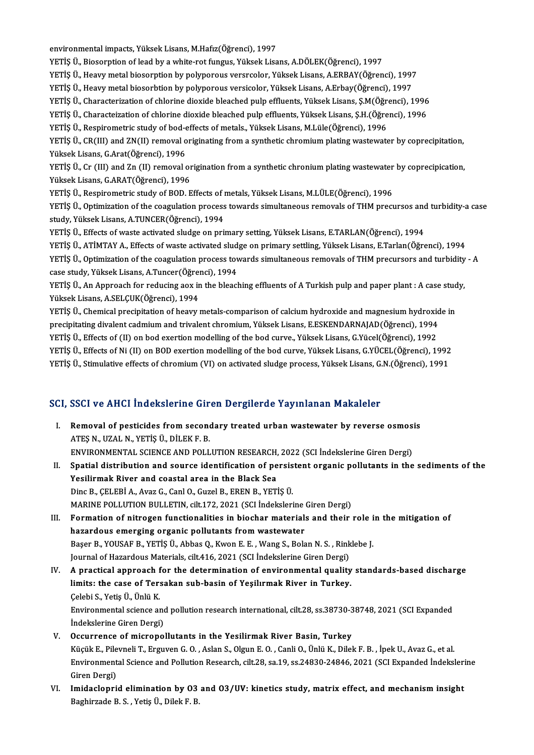environmental impacts, Yüksek Lisans, M.Hafız(Öğrenci), 1997

YETİŞÜ.,Biosorptionof lead by awhite-rot fungus,YüksekLisans,A.DÖLEK(Öğrenci),1997

environmental impacts, Yüksek Lisans, M.Hafız(Öğrenci), 1997<br>YETİŞ Ü., Biosorption of lead by a white-rot fungus, Yüksek Lisans, A.DÖLEK(Öğrenci), 1997<br>YETİŞ Ü., Heavy metal biosorption by polyporous versrcolor, Yüksek Lis

YETİŞ Ü., Biosorption of lead by a white-rot fungus, Yüksek Lisans, A.DÖLEK(Öğrenci), 1997<br>YETİŞ Ü., Heavy metal biosorption by polyporous versrcolor, Yüksek Lisans, A.ERBAY(Öğrenci), 1997<br>YETİŞ Ü., Heavy metal biosorbtion

YETİŞ Ü., Heavy metal biosorption by polyporous versrcolor, Yüksek Lisans, A.ERBAY(Öğrenci), 1997<br>YETİŞ Ü., Heavy metal biosorbtion by polyporous versicolor, Yüksek Lisans, A.Erbay(Öğrenci), 1997<br>YETİŞ Ü., Characterization YETİŞ Ü., Heavy metal biosorbtion by polyporous versicolor, Yüksek Lisans, A.Erbay(Öğrenci), 1997<br>YETİŞ Ü., Characterization of chlorine dioxide bleached pulp effluents, Yüksek Lisans, Ş.M.(Öğrenci), 1996<br>YETİŞ Ü., Charact YETİŞ Ü., Characterization of chlorine dioxide bleached pulp effluents, Yüksek Lisans, Ş.M.(Öğre<br>YETİŞ Ü., Characteization of chlorine dioxide bleached pulp effluents, Yüksek Lisans, Ş.H.(Öğre<br>YETİŞ Ü., Respirometric study

YETİŞ Ü., Respirometric study of bod-effects of metals., Yüksek Lisans, M.Lüle(Öğrenci), 1996

YETİŞ Ü., Characteization of chlorine dioxide bleached pulp effluents, Yüksek Lisans, Ş.H.(Öğrenci), 1996<br>YETİŞ Ü., Respirometric study of bod-effects of metals., Yüksek Lisans, M.Lüle(Öğrenci), 1996<br>YETİŞ Ü., CR(III) and YETİŞ Ü., CR(III) and ZN(II) removal originating from a synthetic chromium plating wastewater by coprecipitation,<br>Yüksek Lisans, G.Arat(Öğrenci), 1996<br>YETİŞ Ü., Cr (III) and Zn (II) removal origination from a synthetic chr

Yüksek Lisans, G.Arat(Öğrenci), 1996<br>YETİŞ Ü., Cr (III) and Zn (II) removal or<br>Yüksek Lisans, G.ARAT(Öğrenci), 1996<br>YETİS Ü. Bespirometris study of POD. E YETİŞ Ü., Cr (III) and Zn (II) removal origination from a synthetic chronium plating wastewater<br>Yüksek Lisans, G.ARAT(Öğrenci), 1996<br>YETİŞ Ü., Respirometric study of BOD. Effects of metals, Yüksek Lisans, M.LÜLE(Öğrenci),

Yüksek Lisans, G.ARAT(Öğrenci), 1996<br>YETİŞ Ü., Respirometric study of BOD. Effects of metals, Yüksek Lisans, M.LÜLE(Öğrenci), 1996<br>YETİŞ Ü., Optimization of the coagulation process towards simultaneous removals of THM prec YETİŞ Ü., Respirometric study of BOD. Effects of metals, Yüksek Lisans, M.LÜLE(Öğrenci), 1996<br>YETİŞ Ü., Optimization of the coagulation process towards simultaneous removals of THM precursos an<br>study, Yüksek Lisans, A.TUNC YETİŞ Ü., Optimization of the coagulation process towards simultaneous removals of THM precursos and<br>study, Yüksek Lisans, A.TUNCER(Öğrenci), 1994<br>YETİŞ Ü., Effects of waste activated sludge on primary setting, Yüksek Lisa

study, Yüksek Lisans, A.TUNCER(Öğrenci), 1994<br>YETİŞ Ü., Effects of waste activated sludge on primary setting, Yüksek Lisans, E.TARLAN(Öğrenci), 1994<br>YETİŞ Ü., ATİMTAY A., Effects of waste activated sludge on primary settli

YETİŞ Ü., Optimization of the coagulation process towards simultaneous removals of THM precursors and turbidity - A<br>case study, Yüksek Lisans, A.Tuncer(Öğrenci), 1994 YETİŞ Ü., ATİMTAY A., Effects of waste activated slud<br>YETİŞ Ü., Optimization of the coagulation process tov<br>case study, Yüksek Lisans, A.Tuncer(Öğrenci), 1994<br>YETİS Ü. An Annreash far reducins sov in the blasel YETİŞ Ü., Optimization of the coagulation process towards simultaneous removals of THM precursors and turbidity<br>case study, Yüksek Lisans, A.Tuncer(Öğrenci), 1994<br>YETİŞ Ü., An Approach for reducing aox in the bleaching eff

case study, Yüksek Lisans, A.Tuncer (Öğren<br>YETİŞ Ü., An Approach for reducing aox ir<br>Yüksek Lisans, A.SELÇUK(Öğrenci), 1994<br>YETİS Ü. Chamisal presipitation of heavy YETİŞ Ü., An Approach for reducing aox in the bleaching effluents of A Turkish pulp and paper plant : A case stud<br>Yüksek Lisans, A.SELÇUK(Öğrenci), 1994<br>YETİŞ Ü., Chemical precipitation of heavy metals-comparison of calciu

Yüksek Lisans, A.SELÇUK(Öğrenci), 1994<br>YETİŞ Ü., Chemical precipitation of heavy metals-comparison of calcium hydroxide and magnesium hydroxide in<br>precipitating divalent cadmium and trivalent chromium, Yüksek Lisans, E.ESK YETİŞ Ü., Chemical precipitation of heavy metals-comparison of calcium hydroxide and magnesium hydroxid<br>precipitating divalent cadmium and trivalent chromium, Yüksek Lisans, E.ESKENDARNAJAD(Öğrenci), 1994<br>YETİŞ Ü., Effects precipitating divalent cadmium and trivalent chromium, Yüksek Lisans, E.ESKENDARNAJAD(Öğrenci), 1994<br>YETİŞ Ü., Effects of (II) on bod exertion modelling of the bod curve., Yüksek Lisans, G.Yücel(Öğrenci), 1992<br>YETİŞ Ü., Ef YETİŞ Ü., Effects of (II) on bod exertion modelling of the bod curve., Yüksek Lisans, G.Yücel(Öğrenci), 1992<br>YETİŞ Ü., Effects of Ni (II) on BOD exertion modelling of the bod curve, Yüksek Lisans, G.YÜCEL(Öğrenci), 1992<br>YE YETİŞ Ü., Stimulative effects of chromium (VI) on activated sludge process, Yüksek Lisans, G.N.(Öğrenci), 1991<br>SCI, SSCI ve AHCI İndekslerine Giren Dergilerde Yayınlanan Makaleler

CI, SSCI ve AHCI Indekslerine Giren Dergilerde Yayınlanan Makaleler<br>I. Removal of pesticides from secondary treated urban wastewater by reverse osmosis<br>ATES N. UZAL N. VETIS Ü. DU EK E. P BESTA VE TIMET INCENSIONING EN<br>Removal of pesticides from second<br>ATEŞ N., UZAL N., YETİŞ Ü., DİLEK F. B.<br>ENVIRONMENTAL SCIENCE AND POLL Removal of pesticides from secondary treated urban wastewater by reverse osmos<br>ATEŞ N., UZAL N., YETİŞ Ü., DİLEK F. B.<br>ENVIRONMENTAL SCIENCE AND POLLUTION RESEARCH, 2022 (SCI İndekslerine Giren Dergi)<br>Spatial distribution

- ATEŞ N., UZAL N., YETİŞ Ü., DİLEK F. B.<br>ENVIRONMENTAL SCIENCE AND POLLUTION RESEARCH, 2022 (SCI İndekslerine Giren Dergi)<br>II. Spatial distribution and source identification of persistent organic pollutants in the sediments ENVIRONMENTAL SCIENCE AND POLLUTION RESEARCH, 2022 (SCI Indekslerine Giren Dergi)<br>Spatial distribution and source identification of persistent organic pollutants in the<br>Yesilirmak River and coastal area in the Black Sea<br>Di Spatial distribution and source identification of persis<br>Yesilirmak River and coastal area in the Black Sea<br>Dinc B., ÇELEBİ A., Avaz G., Canl O., Guzel B., EREN B., YETİŞ Ü.<br>MARINE POLLUTION BULLETIN, silt 172, 2021 (SCLİn Yesilirmak River and coastal area in the Black Sea<br>Dinc B., ÇELEBİ A., Avaz G., Canl O., Guzel B., EREN B., YETİŞ Ü.<br>MARINE POLLUTION BULLETIN, cilt.172, 2021 (SCI İndekslerine Giren Dergi)<br>Formation of nitrogen functional
- III. Formation of nitrogen functionalities in biochar materials and their role in the mitigation of hazardous emerging organic pollutants from wastewater MARINE POLLUTION BULLETIN, cilt.172, 2021 (SCI Indekslerine<br>Formation of nitrogen functionalities in biochar material:<br>hazardous emerging organic pollutants from wastewater<br>Paser P. VOUSAE P. VETIS (I. Abbas O. Kuron E. E. Formation of nitrogen functionalities in biochar materials and their role i<br>hazardous emerging organic pollutants from wastewater<br>Başer B., YOUSAF B., YETİŞ Ü., Abbas Q., Kwon E. E. , Wang S., Bolan N. S. , Rinklebe J.<br>Jou hazardous emerging organic pollutants from wastewater<br>Başer B., YOUSAF B., YETİŞ Ü., Abbas Q., Kwon E. E. , Wang S., Bolan N. S. , Rink<br>Journal of Hazardous Materials, cilt.416, 2021 (SCI İndekslerine Giren Dergi)<br>A nrasti Başer B., YOUSAF B., YETİŞ Ü., Abbas Q., Kwon E. E. , Wang S., Bolan N. S. , Rinklebe J.<br>Journal of Hazardous Materials, cilt.416, 2021 (SCI İndekslerine Giren Dergi)<br>IV. A practical approach for the determination of envir
- Journal of Hazardous Materials, cilt.416, 2021 (SCI İndekslerine Giren Dergi)<br>A practical approach for the determination of environmental quality<br>limits: the case of Tersakan sub-basin of Yeşilırmak River in Turkey.<br>Celebi A practical approach f<br>limits: the case of Ter:<br>Çelebi S., Yetiş Ü., Ünlü K.<br>Environmental science at limits: the case of Tersakan sub-basin of Yeşilırmak River in Turkey.<br>Celebi S., Yetiş Ü., Ünlü K.<br>Environmental science and pollution research international, cilt.28, ss.38730-38748, 2021 (SCI Expanded Indekslerine Giren Çelebi S., Yetiş Ü., Ünlü K.<br>Environmental science and<br>İndekslerine Giren Dergi)<br>Qesunnonse of misnone
- V. Occurrence of micropollutants in the Yesilirmak River Basin, Turkey İndekslerine Giren Dergi)<br>Occurrence of micropollutants in the Yesilirmak River Basin, Turkey<br>Küçük E., Pilevneli T., Erguven G. O. , Aslan S., Olgun E. O. , Canli O., Ünlü K., Dilek F. B. , İpek U., Avaz G., et al.<br>Enviro Environmental Science and Pollution Research, cilt.28, sa.19, ss.24830-24846, 2021 (SCI Expanded İndekslerine<br>Giren Dergi) Küçük E., Pile<br>Environment<br>Giren Dergi)<br>Imidaelanni Environmental Science and Pollution Research, cilt.28, sa.19, ss.24830-24846, 2021 (SCI Expanded İndeksleri<br>Giren Dergi)<br>VI. Imidacloprid elimination by O3 and O3/UV: kinetics study, matrix effect, and mechanism insight<br>Be
- Giren Dergi)<br>I<mark>midacloprid elimination by 03</mark><br>Baghirzade B. S. , Yetiş Ü., Dilek F. B.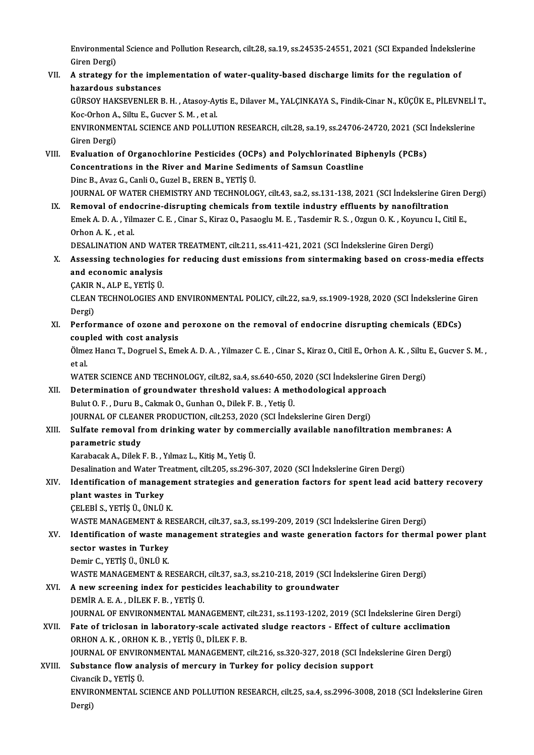Environmental Science and Pollution Research, cilt.28, sa.19, ss.24535-24551, 2021 (SCI Expanded İndekslerine<br>Ciron Dengi) Environment<br>Giren Dergi)<br>A strategy f Environmental Science and Pollution Research, cilt.28, sa.19, ss.24535-24551, 2021 (SCI Expanded Indeksler Giren Dergi)<br>VII. A strategy for the implementation of water-quality-based discharge limits for the regulation of<br>h

Giren Dergi)<br>VII. A strategy for the implementation of water-quality-based discharge limits for the regulation of<br>hazardous substances A strategy for the implementation of water-quality-based discharge limits for the regulation of<br>hazardous substances<br>GÜRSOY HAKSEVENLER B. H. , Atasoy-Aytis E., Dilaver M., YALÇINKAYA S., Findik-Cinar N., KÜÇÜK E., PİLEVNE

hazardous substances<br>GÜRSOY HAKSEVENLER B. H. , Atasoy-Ay<br>Koc-Orhon A., Siltu E., Gucver S. M. , et al.<br>ENWIRONMENTAL SCIENCE AND POLLU' GÜRSOY HAKSEVENLER B. H. , Atasoy-Aytis E., Dilaver M., YALÇINKAYA S., Findik-Cinar N., KÜÇÜK E., PİLEVNELİ<br>Koc-Orhon A., Siltu E., Gucver S. M. , et al.<br>ENVIRONMENTAL SCIENCE AND POLLUTION RESEARCH, cilt.28, sa.19, ss.247

Koc-Orhon A.<br>ENVIRONMEI<br>Giren Dergi)<br>Eveluation ENVIRONMENTAL SCIENCE AND POLLUTION RESEARCH, cilt.28, sa.19, ss.24706-24720, 2021 (SCI<br>Giren Dergi)<br>VIII. Evaluation of Organochlorine Pesticides (OCPs) and Polychlorinated Biphenyls (PCBs)<br>Consentrations in the Biver and

- Giren Dergi)<br>Evaluation of Organochlorine Pesticides (OCPs) and Polychlorinated Bi<sub>l</sub><br>Concentrations in the River and Marine Sediments of Samsun Coastline<br>Dine B. Aver C. Capli O. Curel B. EREN B. VETIS (i Evaluation of Organochlorine Pesticides (OCF<br>Concentrations in the River and Marine Sedin<br>Dinc B., Avaz G., Canli O., Guzel B., EREN B., YETİŞ Ü.<br>JOUPMAL OE WATER CHEMISTRY AND TECHNOLOG Dinc B., Avaz G., Canli O., Guzel B., EREN B., YETİŞ Ü.<br>JOURNAL OF WATER CHEMISTRY AND TECHNOLOGY, cilt.43, sa.2, ss.131-138, 2021 (SCI İndekslerine Giren Dergi)
- IX. Removal of endocrine-disrupting chemicals from textile industry effluents by nanofiltration JOURNAL OF WATER CHEMISTRY AND TECHNOLOGY, cilt.43, sa.2, ss.131-138, 2021 (SCI İndekslerine Giren D<br>Removal of endocrine-disrupting chemicals from textile industry effluents by nanofiltration<br>Emek A. D. A. , Yilmazer C. E Removal of end<br>Emek A. D. A. , Yilr<br>Orhon A. K. , et al.<br>DESALINATION A Emek A. D. A. , Yilmazer C. E. , Cinar S., Kiraz O., Pasaoglu M. E. , Tasdemir R. S. , Ozgun O. K. , Koyuncu<br>Orhon A. K. , et al.<br>DESALINATION AND WATER TREATMENT, cilt.211, ss.411-421, 2021 (SCI İndekslerine Giren Dergi)<br>

- Orhon A. K. , et al.<br>DESALINATION AND WATER TREATMENT, cilt.211, ss.411-421, 2021 (SCI İndekslerine Giren Dergi)<br>X. Assessing technologies for reducing dust emissions from sintermaking based on cross-media effects<br>and asse **DESALINATION AND WAT**<br>Assessing technologies<br>and economic analysis<br>CAKIB N. ALB E. VETIS Ü Assessing technologies<br>and economic analysis<br>ÇAKIR N., ALP E., YETİŞ Ü.<br>CLEAN TECHNOLOGIES AL
	-

and economic analysis<br>ÇAKIR N., ALP E., YETİŞ Ü.<br>CLEAN TECHNOLOGIES AND ENVIRONMENTAL POLICY, cilt.22, sa.9, ss.1909-1928, 2020 (SCI İndekslerine Giren CAKIR<br>CLEAN<br>Dergi)<br>Perfer CLEAN TECHNOLOGIES AND ENVIRONMENTAL POLICY, cilt.22, sa.9, ss.1909-1928, 2020 (SCI Indekslerine G<br>Dergi)<br>XI. Performance of ozone and peroxone on the removal of endocrine disrupting chemicals (EDCs)<br>coupled with sost anal

Dergi)<br>XI. Performance of ozone and peroxone on the removal of endocrine disrupting chemicals (EDCs)<br>coupled with cost analysis Performance of ozone and peroxone on the removal of endocrine disrupting chemicals (EDCs)<br>coupled with cost analysis<br>Ölmez Hancı T., Dogruel S., Emek A. D. A. , Yilmazer C. E. , Cinar S., Kiraz O., Citil E., Orhon A. K. ,

coup<br>Ölme<br>et al.<br>WAT Ölmez Hancı T., Dogruel S., Emek A. D. A. , Yilmazer C. E. , Cinar S., Kiraz O., Citil E., Orhon A. K. , Siltu<br>et al.<br>WATER SCIENCE AND TECHNOLOGY, cilt.82, sa.4, ss.640-650, 2020 (SCI İndekslerine Giren Dergi)<br>Determinati

WATER SCIENCE AND TECHNOLOGY, cilt.82, sa.4, ss.640-650, 2020 (SCI İndekslerine Giren Dergi)

et al.<br>WATER SCIENCE AND TECHNOLOGY, cilt.82, sa.4, ss.640-650, 2020 (SCI İndekslerine Gi<br>XII. Determination of groundwater threshold values: A methodological approach<br>Bulut O. F. , Duru B., Cakmak O., Gunhan O., Dilek Determination of groundwater threshold values: A methodological appro<br>Bulut O. F. , Duru B., Cakmak O., Gunhan O., Dilek F. B. , Yetiş Ü.<br>JOURNAL OF CLEANER PRODUCTION, cilt.253, 2020 (SCI İndekslerine Giren Dergi)<br>Sulfate Bulut O. F. , Duru B., Cakmak O., Gunhan O., Dilek F. B. , Yetiş Ü.<br>JOURNAL OF CLEANER PRODUCTION, cilt.253, 2020 (SCI İndekslerine Giren Dergi)<br>XIII. Sulfate removal from drinking water by commercially available nanof

## **JOURNAL OF CLEAN<br>Sulfate removal fi<br>parametric study<br>Karabasak A. Dilaki** Sulfate removal from drinking water by comr<br>parametric study<br>Karabacak A., Dilek F. B. , Yılmaz L., Kitiş M., Yetiş Ü.<br>Deselination and Water Treatment, silt 205, se 206. parametric study<br>Karabacak A., Dilek F. B. , Yılmaz L., Kitiş M., Yetiş Ü.<br>Desalination and Water Treatment, cilt.205, ss.296-307, 2020 (SCI İndekslerine Giren Dergi)<br>Identification of management strategies and generation

### Karabacak A., Dilek F. B. , Yılmaz L., Kitiş M., Yetiş Ü.<br>Desalination and Water Treatment, cilt.205, ss.296-307, 2020 (SCI İndekslerine Giren Dergi)<br>XIV. Identification of management strategies and generation factors **Desalination and Water Tr<br>Identification of manag<br>plant wastes in Turkey<br>CELEPLS, VETIS Ü. ÜNLÜ Identification of manager<br>plant wastes in Turkey<br>ÇELEBİ S., YETİŞ Ü., ÜNLÜ K.<br>WASTE MANAÇEMENT & PE** plant wastes in Turkey<br>ÇELEBİ S., YETİŞ Ü., ÜNLÜ K.<br>WASTE MANAGEMENT & RESEARCH, cilt.37, sa.3, ss.199-209, 2019 (SCI İndekslerine Giren Dergi)

## CELEBİ S., YETİŞ Ü., ÜNLÜ K.<br>WASTE MANAGEMENT & RESEARCH, cilt.37, sa.3, ss.199-209, 2019 (SCI İndekslerine Giren Dergi)<br>XV. Identification of waste management strategies and waste generation factors for thermal power WASTE MANAGEMENT & R.<br>Identification of waste m<br>sector wastes in Turkey<br>Domir C. VETIS (1, UNI II K **Identification of waste n<br>sector wastes in Turkey<br>Demir C., YETİŞ Ü., ÜNLÜ K.**<br>WASTE MANACEMENT 8. B sector wastes in Turkey<br>Demir C., YETİŞ Ü., ÜNLÜ K.<br>WASTE MANAGEMENT & RESEARCH, cilt.37, sa.3, ss.210-218, 2019 (SCI İndekslerine Giren Dergi)<br>A new sereening index for nestisides leashability te greyndwater.

## Demir C., YETİŞ Ü., ÜNLÜ K.<br>WASTE MANAGEMENT & RESEARCH, cilt.37, sa.3, ss.210-218, 2019 (SCI İn<br>XVI. A new screening index for pesticides leachability to groundwater<br>DEMİR A. E. A., DİLEK F. B., YETİŞ Ü. WASTE MANAGEMENT & RESEARCH<br>**A new screening index for pestic**<br>DEMİR A. E. A. , DİLEK F. B. , YETİŞ Ü.<br>JOUPNAL OF ENVURONMENTAL MAN A new screening index for pesticides leachability to groundwater<br>DEMİR A. E. A. , DİLEK F. B. , YETİŞ Ü.<br>JOURNAL OF ENVIRONMENTAL MANAGEMENT, cilt.231, ss.1193-1202, 2019 (SCI İndekslerine Giren Dergi)<br>Fate of trislesso in

## XVII. Fate of triclosan in laboratory-scale activated sludge reactors - Effect of culture acclimation<br>ORHON A. K., ORHON K. B., YETIS Ü., DİLEK F. B. JOURNAL OF ENVIRONMENTAL MANAGEMENT,<br>Fate of triclosan in laboratory-scale activat<br>ORHON A. K. , ORHON K. B. , YETİŞ Ü., DİLEK F. B.<br>JOURNAL OF ENVIRONMENTAL MANACEMENT Fate of triclosan in laboratory-scale activated sludge reactors - Effect of culture acclimation<br>ORHON A. K. , ORHON K. B. , YETİŞ Ü., DİLEK F. B.<br>JOURNAL OF ENVIRONMENTAL MANAGEMENT, cilt.216, ss.320-327, 2018 (SCI İndeksl

## XVIII. Substance flow analysis of mercury in Turkey for policy decision support<br>Civancik D., YETIS Ü. JOURNAL OF ENVIRON<br>Substance flow an<br>Civancik D., YETİŞ Ü.<br>ENVIRONMENTAL S Substance flow analysis of mercury in Turkey for policy decision support<br>Civancik D., YETİŞ Ü.<br>ENVIRONMENTAL SCIENCE AND POLLUTION RESEARCH, cilt.25, sa.4, ss.2996-3008, 2018 (SCI İndekslerine Giren<br>Dergi)

Civanc<br>ENVIR<br>Dergi)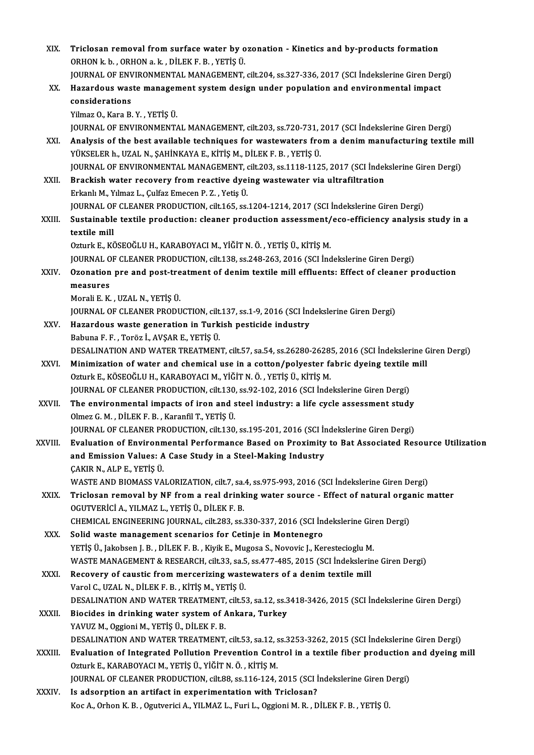| XIX.         | Triclosan removal from surface water by ozonation - Kinetics and by-products formation                                                                                                        |
|--------------|-----------------------------------------------------------------------------------------------------------------------------------------------------------------------------------------------|
|              | ORHON k b , ORHON a k , DİLEK F B , YETİŞ Ü                                                                                                                                                   |
|              | JOURNAL OF ENVIRONMENTAL MANAGEMENT, cilt.204, ss.327-336, 2017 (SCI İndekslerine Giren Dergi)                                                                                                |
| XX.          | Hazardous waste management system design under population and environmental impact                                                                                                            |
|              | considerations                                                                                                                                                                                |
|              | Yilmaz O., Kara B.Y., YETIŞ Ü.                                                                                                                                                                |
|              | JOURNAL OF ENVIRONMENTAL MANAGEMENT, cilt.203, ss.720-731, 2017 (SCI İndekslerine Giren Dergi)                                                                                                |
| XXI.         | Analysis of the best available techniques for wastewaters from a denim manufacturing textile mill                                                                                             |
|              | YÜKSELER h., UZAL N., ŞAHİNKAYA E., KİTİŞ M., DİLEK F. B. , YETİŞ Ü.                                                                                                                          |
|              | JOURNAL OF ENVIRONMENTAL MANAGEMENT, cilt.203, ss.1118-1125, 2017 (SCI İndekslerine Giren Dergi)                                                                                              |
| XXII.        | Brackish water recovery from reactive dyeing wastewater via ultrafiltration                                                                                                                   |
|              | Erkanlı M., Yılmaz L., Çulfaz Emecen P.Z., Yetiş Ü.                                                                                                                                           |
|              | JOURNAL OF CLEANER PRODUCTION, cilt.165, ss.1204-1214, 2017 (SCI Indekslerine Giren Dergi)                                                                                                    |
| XXIII.       | Sustainable textile production: cleaner production assessment/eco-efficiency analysis study in a                                                                                              |
|              | textile mill                                                                                                                                                                                  |
|              | Ozturk E., KÖSEOĞLU H., KARABOYACI M., YİĞİT N. Ö., YETİŞ Ü., KİTİŞ M.                                                                                                                        |
|              | JOURNAL OF CLEANER PRODUCTION, cilt.138, ss.248-263, 2016 (SCI Indekslerine Giren Dergi)                                                                                                      |
| XXIV.        | Ozonation pre and post-treatment of denim textile mill effluents: Effect of cleaner production                                                                                                |
|              | measures                                                                                                                                                                                      |
|              | Morali E. K., UZAL N., YETİŞ Ü.                                                                                                                                                               |
|              | JOURNAL OF CLEANER PRODUCTION, cilt.137, ss.1-9, 2016 (SCI İndekslerine Giren Dergi)                                                                                                          |
| XXV.         | Hazardous waste generation in Turkish pesticide industry                                                                                                                                      |
|              | Babuna F. F., Toröz İ., AVŞAR E., YETİŞ Ü.                                                                                                                                                    |
|              | DESALINATION AND WATER TREATMENT, cilt.57, sa.54, ss.26280-26285, 2016 (SCI İndekslerine Giren Dergi)                                                                                         |
| XXVI.        | Minimization of water and chemical use in a cotton/polyester fabric dyeing textile mill                                                                                                       |
|              | Ozturk E., KÖSEOĞLU H., KARABOYACI M., YİĞİT N. Ö. , YETİŞ Ü., KİTİŞ M.                                                                                                                       |
|              | JOURNAL OF CLEANER PRODUCTION, cilt.130, ss.92-102, 2016 (SCI Indekslerine Giren Dergi)                                                                                                       |
| <b>XXVII</b> | The environmental impacts of iron and steel industry: a life cycle assessment study                                                                                                           |
|              | Olmez G. M., DİLEK F. B., Karanfil T., YETİŞ Ü.                                                                                                                                               |
|              | JOURNAL OF CLEANER PRODUCTION, cilt.130, ss.195-201, 2016 (SCI Indekslerine Giren Dergi)                                                                                                      |
| XXVIII.      | Evaluation of Environmental Performance Based on Proximity to Bat Associated Resource Utilization                                                                                             |
|              | and Emission Values: A Case Study in a Steel-Making Industry                                                                                                                                  |
|              | ÇAKIR N., ALP E., YETİŞ Ü.                                                                                                                                                                    |
|              | WASTE AND BIOMASS VALORIZATION, cilt.7, sa.4, ss.975-993, 2016 (SCI Indekslerine Giren Dergi)<br>Triclosan removal by NF from a real drinking water source - Effect of natural organic matter |
| XXIX.        | OGUTVERİCİ A., YILMAZ L., YETİŞ Ü., DİLEK F. B.                                                                                                                                               |
|              | CHEMICAL ENGINEERING JOURNAL, cilt.283, ss.330-337, 2016 (SCI İndekslerine Giren Dergi)                                                                                                       |
| XXX.         | Solid waste management scenarios for Cetinje in Montenegro                                                                                                                                    |
|              | YETİŞ Ü., Jakobsen J. B., DİLEK F. B., Kiyik E., Mugosa S., Novovic J., Kerestecioglu M.                                                                                                      |
|              | WASTE MANAGEMENT & RESEARCH, cilt.33, sa.5, ss.477-485, 2015 (SCI İndekslerine Giren Dergi)                                                                                                   |
| XXXI.        | Recovery of caustic from mercerizing wastewaters of a denim textile mill                                                                                                                      |
|              | Varol C., UZAL N., DİLEK F. B., KİTİŞ M., YETİŞ Ü.                                                                                                                                            |
|              | DESALINATION AND WATER TREATMENT, cilt.53, sa.12, ss.3418-3426, 2015 (SCI İndekslerine Giren Dergi)                                                                                           |
| <b>XXXII</b> | Biocides in drinking water system of Ankara, Turkey                                                                                                                                           |
|              | YAVUZ M., Oggioni M., YETİŞ Ü., DİLEK F. B.                                                                                                                                                   |
|              | DESALINATION AND WATER TREATMENT, cilt.53, sa.12, ss.3253-3262, 2015 (SCI Indekslerine Giren Dergi)                                                                                           |
| XXXIII.      | Evaluation of Integrated Pollution Prevention Control in a textile fiber production and dyeing mill                                                                                           |
|              | Ozturk E., KARABOYACI M., YETİŞ Ü., YİĞİT N. Ö., KİTİŞ M.                                                                                                                                     |
|              | JOURNAL OF CLEANER PRODUCTION, cilt.88, ss.116-124, 2015 (SCI Indekslerine Giren Dergi)                                                                                                       |
| XXXIV.       | Is adsorption an artifact in experimentation with Triclosan?                                                                                                                                  |
|              | Koc A., Orhon K. B., Ogutverici A., YILMAZ L., Furi L., Oggioni M. R., DİLEK F. B., YETİŞ Ü.                                                                                                  |
|              |                                                                                                                                                                                               |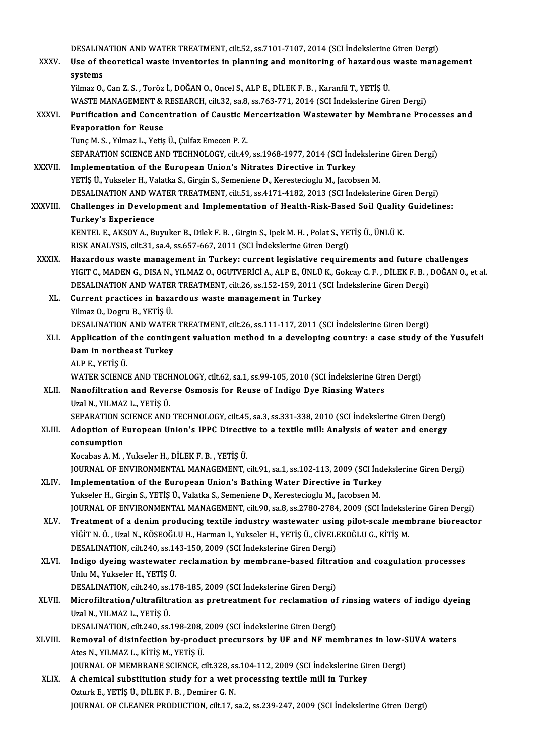|              | DESALINATION AND WATER TREATMENT, cilt.52, ss.7101-7107, 2014 (SCI İndekslerine Giren Dergi)                                    |
|--------------|---------------------------------------------------------------------------------------------------------------------------------|
| XXXV.        | Use of theoretical waste inventories in planning and monitoring of hazardous waste management<br>systems                        |
|              | Yilmaz O., Can Z. S., Toröz İ., DOĞAN O., Oncel S., ALP E., DİLEK F. B., Karanfil T., YETİŞ Ü.                                  |
|              | WASTE MANAGEMENT & RESEARCH, cilt.32, sa.8, ss.763-771, 2014 (SCI Indekslerine Giren Dergi)                                     |
| XXXVI.       | Purification and Concentration of Caustic Mercerization Wastewater by Membrane Processes and                                    |
|              | <b>Evaporation for Reuse</b>                                                                                                    |
|              | Tunç M. S., Yılmaz L., Yetiş Ü., Çulfaz Emecen P. Z.                                                                            |
|              | SEPARATION SCIENCE AND TECHNOLOGY, cilt.49, ss.1968-1977, 2014 (SCI İndekslerine Giren Dergi)                                   |
| XXXVII.      | Implementation of the European Union's Nitrates Directive in Turkey                                                             |
|              | YETİŞ Ü., Yukseler H., Valatka S., Girgin S., Semeniene D., Kerestecioglu M., Jacobsen M.                                       |
|              | DESALINATION AND WATER TREATMENT, cilt.51, ss.4171-4182, 2013 (SCI İndekslerine Giren Dergi)                                    |
| XXXVIII.     | Challenges in Development and Implementation of Health-Risk-Based Soil Quality Guidelines:                                      |
|              | <b>Turkey's Experience</b>                                                                                                      |
|              | KENTEL E., AKSOY A., Buyuker B., Dilek F. B., Girgin S., Ipek M. H., Polat S., YETİŞ Ü., ÜNLÜ K.                                |
|              | RISK ANALYSIS, cilt.31, sa.4, ss.657-667, 2011 (SCI İndekslerine Giren Dergi)                                                   |
| <b>XXXIX</b> | Hazardous waste management in Turkey: current legislative requirements and future challenges                                    |
|              | YIGIT C., MADEN G., DISA N., YILMAZ O., OGUTVERİCİ A., ALP E., ÜNLÜ K., Gokcay C. F., DİLEK F. B., DOĞAN O., et al.             |
|              | DESALINATION AND WATER TREATMENT, cilt.26, ss.152-159, 2011 (SCI Indekslerine Giren Dergi)                                      |
| XL.          | Current practices in hazardous waste management in Turkey                                                                       |
|              | Yilmaz O., Dogru B., YETİŞ Ü.                                                                                                   |
|              | DESALINATION AND WATER TREATMENT, cilt.26, ss.111-117, 2011 (SCI İndekslerine Giren Dergi)                                      |
| XLI.         | Application of the contingent valuation method in a developing country: a case study of the Yusufeli<br>Dam in northeast Turkey |
|              | ALP E, YETİŞ Ü.                                                                                                                 |
|              | WATER SCIENCE AND TECHNOLOGY, cilt.62, sa.1, ss.99-105, 2010 (SCI İndekslerine Giren Dergi)                                     |
| XLII.        | Nanofiltration and Reverse Osmosis for Reuse of Indigo Dye Rinsing Waters                                                       |
|              | Uzal N., YILMAZ L., YETİŞ Ü.                                                                                                    |
|              | SEPARATION SCIENCE AND TECHNOLOGY, cilt.45, sa.3, ss.331-338, 2010 (SCI Indekslerine Giren Dergi)                               |
| XLIII.       | Adoption of European Union's IPPC Directive to a textile mill: Analysis of water and energy                                     |
|              | consumption                                                                                                                     |
|              | Kocabas A. M., Yukseler H., DİLEK F. B., YETİŞ Ü.                                                                               |
|              | JOURNAL OF ENVIRONMENTAL MANAGEMENT, cilt.91, sa.1, ss.102-113, 2009 (SCI İndekslerine Giren Dergi)                             |
| XLIV.        | Implementation of the European Union's Bathing Water Directive in Turkey                                                        |
|              | Yukseler H., Girgin S., YETİŞ Ü., Valatka S., Semeniene D., Kerestecioglu M., Jacobsen M.                                       |
|              | JOURNAL OF ENVIRONMENTAL MANAGEMENT, cilt.90, sa.8, ss.2780-2784, 2009 (SCI İndekslerine Giren Dergi)                           |
| XLV.         | Treatment of a denim producing textile industry wastewater using pilot-scale membrane bioreactor                                |
|              | YİĞİT N. Ö., Uzal N., KÖSEOĞLU H., Harman I., Yukseler H., YETİŞ Ü., CİVELEKOĞLU G., KİTİŞ M.                                   |
|              | DESALINATION, cilt.240, ss.143-150, 2009 (SCI İndekslerine Giren Dergi)                                                         |
| XLVI.        | Indigo dyeing wastewater reclamation by membrane-based filtration and coagulation processes                                     |
|              | Unlu M., Yukseler H., YETİŞ Ü.                                                                                                  |
|              | DESALINATION, cilt 240, ss 178-185, 2009 (SCI İndekslerine Giren Dergi)                                                         |
| XLVII.       | Microfiltration/ultrafiltration as pretreatment for reclamation of rinsing waters of indigo dyeing                              |
|              | Uzal N., YILMAZ L., YETİŞ Ü.                                                                                                    |
|              | DESALINATION, cilt.240, ss.198-208, 2009 (SCI İndekslerine Giren Dergi)                                                         |
| XLVIII.      | Removal of disinfection by-product precursors by UF and NF membranes in low-SUVA waters                                         |
|              | Ates N., YILMAZ L., KİTİŞ M., YETİŞ Ü.                                                                                          |
|              | JOURNAL OF MEMBRANE SCIENCE, cilt.328, ss.104-112, 2009 (SCI Indekslerine Giren Dergi)                                          |
| XLIX.        | A chemical substitution study for a wet processing textile mill in Turkey<br>Ozturk E., YETİŞ Ü., DİLEK F. B., Demirer G. N.    |
|              | JOURNAL OF CLEANER PRODUCTION, cilt.17, sa.2, ss.239-247, 2009 (SCI Indekslerine Giren Dergi)                                   |
|              |                                                                                                                                 |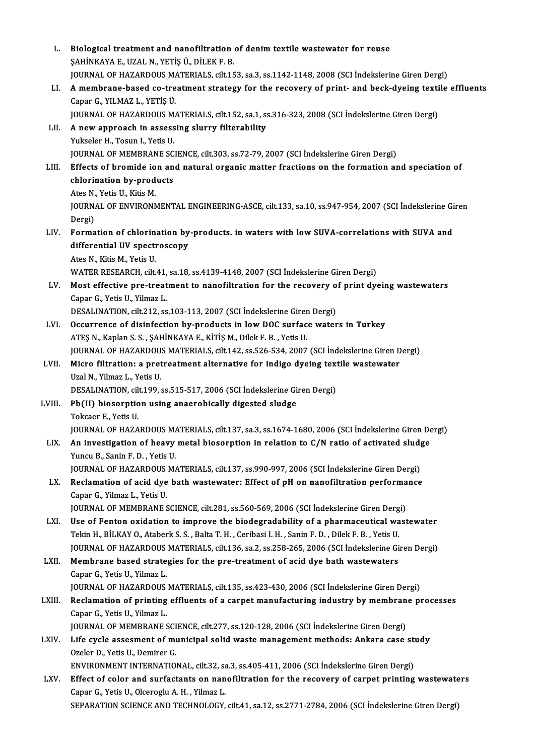| L.     | Biological treatment and nanofiltration of denim textile wastewater for reuse                                                        |
|--------|--------------------------------------------------------------------------------------------------------------------------------------|
|        | ŞAHİNKAYA E., UZAL N., YETİŞ Ü., DİLEK F. B.                                                                                         |
|        | JOURNAL OF HAZARDOUS MATERIALS, cilt.153, sa.3, ss.1142-1148, 2008 (SCI İndekslerine Giren Dergi)                                    |
| LI.    | A membrane-based co-treatment strategy for the recovery of print- and beck-dyeing textile effluents<br>Capar G., YILMAZ L., YETİŞ Ü. |
|        | JOURNAL OF HAZARDOUS MATERIALS, cilt.152, sa.1, ss.316-323, 2008 (SCI İndekslerine Giren Dergi)                                      |
| LII.   | A new approach in assessing slurry filterability                                                                                     |
|        | Yukseler H., Tosun I., Yetis U.                                                                                                      |
|        | JOURNAL OF MEMBRANE SCIENCE, cilt.303, ss.72-79, 2007 (SCI Indekslerine Giren Dergi)                                                 |
| LIII.  | Effects of bromide ion and natural organic matter fractions on the formation and speciation of<br>chlorination by-products           |
|        | Ates N., Yetis U., Kitis M.                                                                                                          |
|        | JOURNAL OF ENVIRONMENTAL ENGINEERING-ASCE, cilt.133, sa.10, ss.947-954, 2007 (SCI Indekslerine Giren<br>Dergi)                       |
| LIV.   | Formation of chlorination by-products. in waters with low SUVA-correlations with SUVA and                                            |
|        | differential UV spectroscopy                                                                                                         |
|        | Ates N., Kitis M., Yetis U.                                                                                                          |
|        | WATER RESEARCH, cilt.41, sa.18, ss.4139-4148, 2007 (SCI Indekslerine Giren Dergi)                                                    |
| LV.    | Most effective pre-treatment to nanofiltration for the recovery of print dyeing wastewaters<br>Capar G., Yetis U., Yilmaz L.         |
|        | DESALINATION, cilt.212, ss.103-113, 2007 (SCI Indekslerine Giren Dergi)                                                              |
| LVI.   | Occurrence of disinfection by-products in low DOC surface waters in Turkey                                                           |
|        | ATEŞ N., Kaplan S. S., ŞAHİNKAYA E., KİTİŞ M., Dilek F. B., Yetis U.                                                                 |
|        | JOURNAL OF HAZARDOUS MATERIALS, cilt.142, ss.526-534, 2007 (SCI İndekslerine Giren Dergi)                                            |
| LVII.  | Micro filtration: a pretreatment alternative for indigo dyeing textile wastewater                                                    |
|        | Uzal N., Yilmaz L., Yetis U.                                                                                                         |
|        | DESALINATION, cilt 199, ss 515-517, 2006 (SCI İndekslerine Giren Dergi)                                                              |
| LVIII. | Pb(II) biosorption using anaerobically digested sludge<br>Tokcaer E. Yetis U.                                                        |
|        | JOURNAL OF HAZARDOUS MATERIALS, cilt.137, sa.3, ss.1674-1680, 2006 (SCI İndekslerine Giren Dergi)                                    |
| LIX.   | An investigation of heavy metal biosorption in relation to C/N ratio of activated sludge<br>Yuncu B., Sanin F. D., Yetis U.          |
|        | JOURNAL OF HAZARDOUS MATERIALS, cilt.137, ss.990-997, 2006 (SCI Indekslerine Giren Dergi)                                            |
| LX.    | Reclamation of acid dye bath wastewater: Effect of pH on nanofiltration performance                                                  |
|        | Capar G., Yilmaz L., Yetis U.                                                                                                        |
|        | JOURNAL OF MEMBRANE SCIENCE, cilt.281, ss.560-569, 2006 (SCI Indekslerine Giren Dergi)                                               |
| LXI.   | Use of Fenton oxidation to improve the biodegradability of a pharmaceutical wastewater                                               |
|        | Tekin H., BİLKAY O., Ataberk S. S., Balta T. H., Ceribasi I. H., Sanin F. D., Dilek F. B., Yetis U.                                  |
|        | JOURNAL OF HAZARDOUS MATERIALS, cilt.136, sa.2, ss.258-265, 2006 (SCI İndekslerine Giren Dergi)                                      |
| LXII.  | Membrane based strategies for the pre-treatment of acid dye bath wastewaters<br>Capar G., Yetis U., Yilmaz L.                        |
|        | JOURNAL OF HAZARDOUS MATERIALS, cilt.135, ss.423-430, 2006 (SCI İndekslerine Giren Dergi)                                            |
| LXIII. | Reclamation of printing effluents of a carpet manufacturing industry by membrane processes                                           |
|        | Capar G., Yetis U., Yilmaz L.                                                                                                        |
|        | JOURNAL OF MEMBRANE SCIENCE, cilt.277, ss.120-128, 2006 (SCI Indekslerine Giren Dergi)                                               |
| LXIV.  | Life cycle assesment of municipal solid waste management methods: Ankara case study<br>Ozeler D., Yetis U., Demirer G.               |
|        | ENVIRONMENT INTERNATIONAL, cilt.32, sa.3, ss.405-411, 2006 (SCI Indekslerine Giren Dergi)                                            |
| LXV.   | Effect of color and surfactants on nanofiltration for the recovery of carpet printing wastewaters                                    |
|        | Capar G., Yetis U., Olceroglu A. H., Yilmaz L.                                                                                       |
|        | SEPARATION SCIENCE AND TECHNOLOGY, cilt.41, sa.12, ss.2771-2784, 2006 (SCI Indekslerine Giren Dergi)                                 |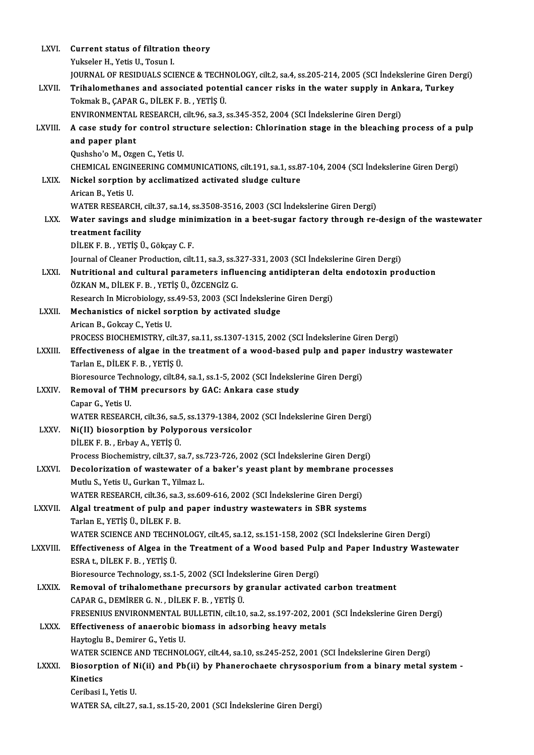| LXVI.          | Current status of filtration theory                                                                                                                              |
|----------------|------------------------------------------------------------------------------------------------------------------------------------------------------------------|
|                | Yukseler H., Yetis U., Tosun I.                                                                                                                                  |
|                | JOURNAL OF RESIDUALS SCIENCE & TECHNOLOGY, cilt.2, sa.4, ss.205-214, 2005 (SCI Indekslerine Giren Dergi)                                                         |
| LXVII.         | Trihalomethanes and associated potential cancer risks in the water supply in Ankara, Turkey                                                                      |
|                | Tokmak B., ÇAPAR G., DİLEK F. B., YETİŞ Ü.                                                                                                                       |
|                | ENVIRONMENTAL RESEARCH, cilt.96, sa.3, ss.345-352, 2004 (SCI Indekslerine Giren Dergi)                                                                           |
| LXVIII.        | A case study for control structure selection: Chlorination stage in the bleaching process of a pulp                                                              |
|                | and paper plant                                                                                                                                                  |
|                | Qushsho'o M., Ozgen C., Yetis U.                                                                                                                                 |
|                | CHEMICAL ENGINEERING COMMUNICATIONS, cilt.191, sa.1, ss.87-104, 2004 (SCI İndekslerine Giren Dergi)                                                              |
| <b>LXIX</b>    | Nickel sorption by acclimatized activated sludge culture                                                                                                         |
|                | Arican B., Yetis U.                                                                                                                                              |
|                | WATER RESEARCH, cilt.37, sa.14, ss.3508-3516, 2003 (SCI İndekslerine Giren Dergi)                                                                                |
| LXX.           | Water savings and sludge minimization in a beet-sugar factory through re-design of the wastewater                                                                |
|                | treatment facility                                                                                                                                               |
|                | DİLEK F B , YETİŞ Ü, Gökçay C F.                                                                                                                                 |
|                | Journal of Cleaner Production, cilt.11, sa.3, ss.327-331, 2003 (SCI Indekslerine Giren Dergi)                                                                    |
| LXXI.          | Nutritional and cultural parameters influencing antidipteran delta endotoxin production                                                                          |
|                | ÖZKAN M., DİLEK F. B. , YETİŞ Ü., ÖZCENGİZ G.                                                                                                                    |
|                | Research In Microbiology, ss.49-53, 2003 (SCI Indekslerine Giren Dergi)                                                                                          |
| LXXII.         | Mechanistics of nickel sorption by activated sludge                                                                                                              |
|                | Arican B., Gokcay C., Yetis U.                                                                                                                                   |
|                | PROCESS BIOCHEMISTRY, cilt.37, sa.11, ss.1307-1315, 2002 (SCI İndekslerine Giren Dergi)                                                                          |
| LXXIII.        | Effectiveness of algae in the treatment of a wood-based pulp and paper industry wastewater                                                                       |
|                | Tarlan E., DİLEK F. B., YETİŞ Ü.                                                                                                                                 |
|                | Bioresource Technology, cilt.84, sa.1, ss.1-5, 2002 (SCI Indekslerine Giren Dergi)                                                                               |
| <b>LXXIV</b>   | Removal of THM precursors by GAC: Ankara case study                                                                                                              |
|                | Capar G, Yetis U.                                                                                                                                                |
|                | WATER RESEARCH, cilt.36, sa.5, ss.1379-1384, 2002 (SCI İndekslerine Giren Dergi)                                                                                 |
| <b>LXXV</b>    | Ni(II) biosorption by Polyporous versicolor                                                                                                                      |
|                | DİLEK F. B., Erbay A., YETİŞ Ü.                                                                                                                                  |
|                | Process Biochemistry, cilt.37, sa.7, ss.723-726, 2002 (SCI Indekslerine Giren Dergi)                                                                             |
| <b>LXXVI</b>   | Decolorization of wastewater of a baker's yeast plant by membrane processes                                                                                      |
|                | Mutlu S., Yetis U., Gurkan T., Yilmaz L.                                                                                                                         |
|                | WATER RESEARCH, cilt.36, sa.3, ss.609-616, 2002 (SCI Indekslerine Giren Dergi)                                                                                   |
| <b>LXXVII.</b> | Algal treatment of pulp and paper industry wastewaters in SBR systems                                                                                            |
|                | Tarlan E., YETİŞ Ü., DİLEK F. B.                                                                                                                                 |
|                | WATER SCIENCE AND TECHNOLOGY, cilt.45, sa.12, ss.151-158, 2002 (SCI İndekslerine Giren Dergi)                                                                    |
| LXXVIII.       | Effectiveness of Algea in the Treatment of a Wood based Pulp and Paper Industry Wastewater                                                                       |
|                | ESRA t, DİLEK F.B., YETİŞ Ü.                                                                                                                                     |
|                | Bioresource Technology, ss.1-5, 2002 (SCI Indekslerine Giren Dergi)                                                                                              |
| <b>LXXIX</b>   | Removal of trihalomethane precursors by granular activated carbon treatment                                                                                      |
|                | CAPAR G., DEMIRER G. N., DILEK F. B., YETIŞ Ü.                                                                                                                   |
|                | FRESENIUS ENVIRONMENTAL BULLETIN, cilt.10, sa.2, ss.197-202, 2001 (SCI İndekslerine Giren Dergi)<br>Effectiveness of anaerobic biomass in adsorbing heavy metals |
| <b>LXXX</b>    |                                                                                                                                                                  |
|                | Haytoglu B., Demirer G., Yetis U.<br>WATER SCIENCE AND TECHNOLOGY, cilt.44, sa.10, ss.245-252, 2001 (SCI Indekslerine Giren Dergi)                               |
| <b>LXXXI</b>   | Biosorption of Ni(ii) and Pb(ii) by Phanerochaete chrysosporium from a binary metal system -                                                                     |
|                | Kinetics                                                                                                                                                         |
|                | Ceribasi I., Yetis U.                                                                                                                                            |
|                | WATER SA, cilt.27, sa.1, ss.15-20, 2001 (SCI Indekslerine Giren Dergi)                                                                                           |
|                |                                                                                                                                                                  |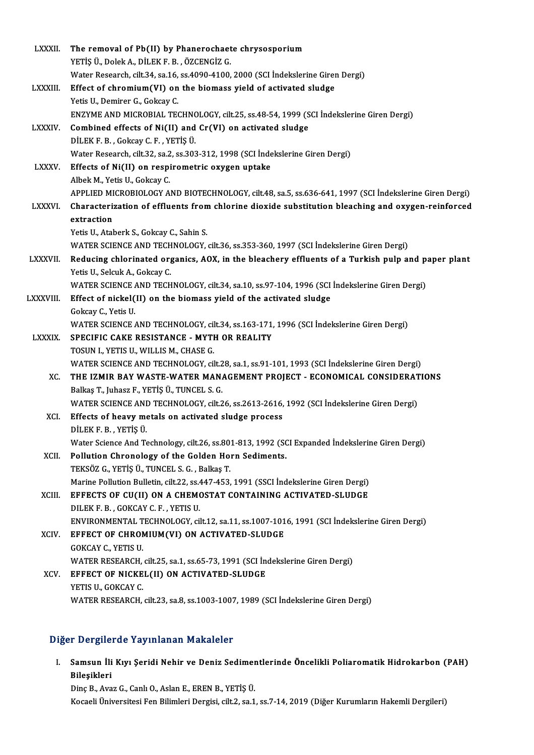| <b>LXXXII.</b> | The removal of Pb(II) by Phanerochaete chrysosporium                                                   |
|----------------|--------------------------------------------------------------------------------------------------------|
|                | YETİŞ Ü., Dolek A., DİLEK F. B., ÖZCENGİZ G.                                                           |
|                | Water Research, cilt.34, sa.16, ss.4090-4100, 2000 (SCI Indekslerine Giren Dergi)                      |
| <b>LXXXIII</b> | Effect of chromium(VI) on the biomass yield of activated sludge                                        |
|                | Yetis U., Demirer G., Gokcay C.                                                                        |
|                | ENZYME AND MICROBIAL TECHNOLOGY, cilt.25, ss.48-54, 1999 (SCI Indekslerine Giren Dergi)                |
| <b>LXXXIV</b>  | Combined effects of Ni(II) and Cr(VI) on activated sludge                                              |
|                | DİLEK F. B., Gokcay C. F., YETİŞ Ü.                                                                    |
|                | Water Research, cilt 32, sa.2, ss.303-312, 1998 (SCI İndekslerine Giren Dergi)                         |
| <b>LXXXV</b>   | Effects of Ni(II) on respirometric oxygen uptake                                                       |
|                | Albek M, Yetis U, Gokcay C.                                                                            |
|                | APPLIED MICROBIOLOGY AND BIOTECHNOLOGY, cilt.48, sa.5, ss.636-641, 1997 (SCI İndekslerine Giren Dergi) |
| <b>LXXXVI</b>  | Characterization of effluents from chlorine dioxide substitution bleaching and oxygen-reinforced       |
|                | extraction                                                                                             |
|                | Yetis U., Ataberk S., Gokcay C., Sahin S.                                                              |
|                | WATER SCIENCE AND TECHNOLOGY, cilt.36, ss.353-360, 1997 (SCI İndekslerine Giren Dergi)                 |
| <b>LXXXVII</b> | Reducing chlorinated organics, AOX, in the bleachery effluents of a Turkish pulp and paper plant       |
|                | Yetis U, Selcuk A, Gokcay C.                                                                           |
|                | WATER SCIENCE AND TECHNOLOGY, cilt.34, sa.10, ss.97-104, 1996 (SCI Indekslerine Giren Dergi)           |
| LXXXVIII.      | Effect of nickel(II) on the biomass yield of the activated sludge                                      |
|                | Gokcay C., Yetis U.                                                                                    |
|                | WATER SCIENCE AND TECHNOLOGY, cilt.34, ss.163-171, 1996 (SCI İndekslerine Giren Dergi)                 |
| <b>LXXXIX</b>  | SPECIFIC CAKE RESISTANCE - MYTH OR REALITY                                                             |
|                | TOSUN I., YETIS U., WILLIS M., CHASE G.                                                                |
|                | WATER SCIENCE AND TECHNOLOGY, cilt.28, sa.1, ss.91-101, 1993 (SCI İndekslerine Giren Dergi)            |
| XC.            | THE IZMIR BAY WASTE-WATER MANAGEMENT PROJECT - ECONOMICAL CONSIDERATIONS                               |
|                | Balkaş T., Juhasz F., YETİŞ Ü., TUNCEL S. G.                                                           |
|                | WATER SCIENCE AND TECHNOLOGY, cilt.26, ss.2613-2616, 1992 (SCI İndekslerine Giren Dergi)               |
| XCI.           | Effects of heavy metals on activated sludge process<br>DİLEK F B , YETİŞ Ü                             |
|                | Water Science And Technology, cilt.26, ss.801-813, 1992 (SCI Expanded İndekslerine Giren Dergi)        |
| XCII.          | Pollution Chronology of the Golden Horn Sediments.                                                     |
|                | TEKSÖZ G., YETİŞ Ü., TUNCEL S. G., Balkaş T.                                                           |
|                | Marine Pollution Bulletin, cilt.22, ss.447-453, 1991 (SSCI Indekslerine Giren Dergi)                   |
| XCIII.         | EFFECTS OF CU(II) ON A CHEMOSTAT CONTAINING ACTIVATED-SLUDGE                                           |
|                | DILEK F. B., GOKCAY C. F., YETIS U.                                                                    |
|                | ENVIRONMENTAL TECHNOLOGY, cilt.12, sa.11, ss.1007-1016, 1991 (SCI İndekslerine Giren Dergi)            |
| XCIV.          | EFFECT OF CHROMIUM(VI) ON ACTIVATED-SLUDGE                                                             |
|                | <b>GOKCAY C, YETIS U</b>                                                                               |
|                | WATER RESEARCH, cilt.25, sa.1, ss.65-73, 1991 (SCI Indekslerine Giren Dergi)                           |
| XCV.           | EFFECT OF NICKEL(II) ON ACTIVATED-SLUDGE                                                               |
|                | YETIS U., GOKCAY C.                                                                                    |
|                | WATER RESEARCH, cilt.23, sa.8, ss.1003-1007, 1989 (SCI İndekslerine Giren Dergi)                       |
|                |                                                                                                        |

### Diğer Dergilerde Yayınlanan Makaleler

iğer Dergilerde Yayınlanan Makaleler<br>I. Samsun İli Kıyı Şeridi Nehir ve Deniz Sedimentlerinde Öncelikli Poliaromatik Hidrokarbon (PAH)<br>Rilosikleri r Bergres<br>Samsun İli<br>Bileşikleri Samsun İli Kıyı Şeridi Nehir ve Deniz Sedimer<br>Bileşikleri<br>Dinç B., Avaz G., Canlı O., Aslan E., EREN B., YETİŞ Ü.<br>Kogasli Üniversitesi Fen Bilimleri Dergisi, silt 2, sa 1

Bileşikleri<br>Dinç B., Avaz G., Canlı O., Aslan E., EREN B., YETİŞ Ü.<br>Kocaeli Üniversitesi Fen Bilimleri Dergisi, cilt.2, sa.1, ss.7-14, 2019 (Diğer Kurumların Hakemli Dergileri)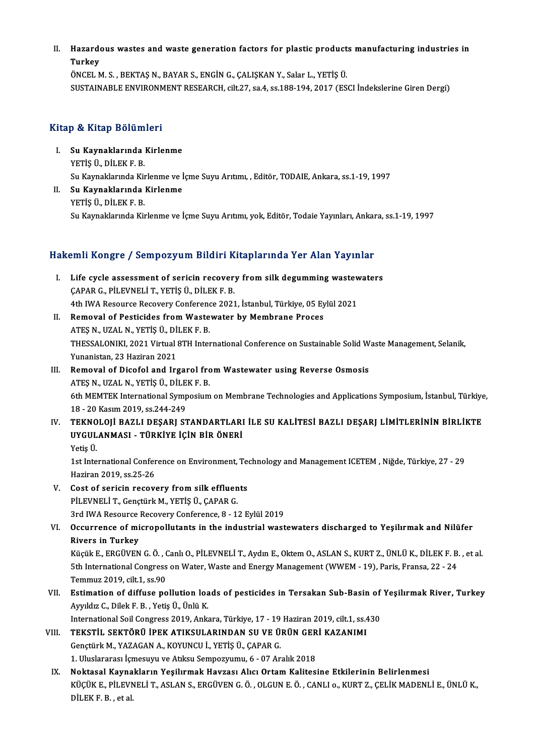II. Hazardous wastes and waste generation factors for plastic products manufacturing industries in<br>Turkey Hazard<br>Turkey<br>ÖNCEL A

ÖNCELM.S. ,BEKTAŞN.,BAYARS.,ENGİNG.,ÇALIŞKANY.,Salar L.,YETİŞÜ. SUSTAINABLE ENVIRONMENT RESEARCH, cilt.27, sa.4, ss.188-194, 2017 (ESCI İndekslerine Giren Dergi)

#### Kitap & Kitap Bölümleri

- itap & Kitap Bölümleri<br>I. Su Kaynaklarında Kirlenme<br>YETİS ÜLDÜEKER ye ilitlep bolum<br>Su Kaynaklarında<br>YETİŞ Ü., DİLEK F. B.<br>Su Kaymaklarında Kir YETİŞ Ü., DİLEK F. B.<br>Su Kaynaklarında Kirlenme ve İçme Suyu Arıtımı, , Editör, TODAIE, Ankara, ss.1-19, 1997 YETİŞ Ü., DİLEK F. B.<br>Su Kaynaklarında Kirlenme ve İ<br>II. Su Kaynaklarında Kirlenme<br>YETİŞ Ö. DİLEK E. B
- Su Kaynaklarında Kir<br>Su <mark>Kaynaklarında</mark><br>YETİŞ Ü., DİLEK F. B.<br>Su Kaynaklarında Kir YETİŞ Ü., DİLEK F. B.<br>Su Kaynaklarında Kirlenme ve İçme Suyu Arıtımı, yok, Editör, Todaie Yayınları, Ankara, ss.1-19, 1997

# su kaynaklarında Kırlenme ve içme suyu Arlumi, yok, Editor, Todale Yayınları, Ankar<br>Hakemli Kongre / Sempozyum Bildiri Kitaplarında Yer Alan Yayınlar

- akemli Kongre / Sempozyum Bildiri Kitaplarında Yer Alan Yayınlar<br>I. Life cycle assessment of sericin recovery from silk degumming wastewaters ETHER HORGED / DOMPOZYUM DRUHA AR<br>Life cycle assessment of sericin recover:<br>CAPAR G., PİLEVNELİ T., YETİŞ Ü., DİLEK F. B.<br>4th IWA Peseurse Pesevery Conference 2021 Life cycle assessment of sericin recovery from silk degumming wastev<br>ÇAPAR G., PİLEVNELİ T., YETİŞ Ü., DİLEK F. B.<br>4th IWA Resource Recovery Conference 2021, İstanbul, Türkiye, 05 Eylül 2021<br>Bamayal of Bestisides from Wast CAPAR G., PILEVNELI T., YETIŞ Ü., DILEK F. B.<br>4th IWA Resource Recovery Conference 2021, İstanbul, Türkiye, 05 Ey<br>II. Removal of Pesticides from Wastewater by Membrane Proces<br>ATES N.. UZAL N.. YETIS Ü.. DİLEK F. B. 4th IWA Resource Recovery Conference 2021, İstanbul, Türkiye, 05 Eylül 2021
- Removal of Pesticides from Wastewater by Membrane Proces<br>ATEŞ N., UZAL N., YETİŞ Ü., DİLEK F. B.<br>THESSALONIKI, 2021 Virtual 8TH International Conference on Sustainable Solid Waste Management, Selanik,<br>Yunanistan, 22 Harira ATEŞ N., UZAL N., YETİŞ Ü., Dİ<br>THESSALONIKI, 2021 Virtual {<br>Yunanistan, 23 Haziran 2021<br>Bamaval of Disafal and Irs THESSALONIKI, 2021 Virtual 8TH International Conference on Sustainable Solid W<br>
Yunanistan, 23 Haziran 2021<br>
III. Removal of Dicofol and Irgarol from Wastewater using Reverse Osmosis<br>
ATES N. 11741 N. VETIS Ü. DILEKE P
- Yunanistan, 23 Haziran 2021<br>III. Removal of Dicofol and Irgarol from Wastewater using Reverse Osmosis<br>ATES N., UZAL N., YETİŞ Ü., DİLEK F. B. Removal of Dicofol and Irgarol from Wastewater using Reverse Osmosis<br>ATEŞ N., UZAL N., YETİŞ Ü., DİLEK F. B.<br>6th MEMTEK International Symposium on Membrane Technologies and Applications Symposium, İstanbul, Türkiye,<br>18 . 3 18 -20Kasım2019, ss.244-249 6th MEMTEK International Symposium on Membrane Technologies and Applications Symposium, İstanbul, Türkiye<br>18 - 20 Kasım 2019, ss.244-249<br>IV. TEKNOLOJİ BAZLI DEŞARJ STANDARTLARI İLE SU KALİTESİ BAZLI DEŞARJ LİMİTLERİNİN BİR
- 18 20 Kasım 2019, ss.244-249<br>TEKNOLOJİ BAZLI DEŞARJ STANDARTLARI<br>UYGULANMASI TÜRKİYE İÇİN BİR ÖNERİ<br><sup>Vetis Ü</sup> TEKNO<br>UYGUL<br>Yetiş Ü.
	-

UYGULANMASI - TÜRKİYE İÇİN BİR ÖNERİ<br>Yetiş Ü.<br>1st International Conference on Environment, Technology and Management ICETEM , Niğde, Türkiye, 27 - 29<br>Hariran 2010, 68.35.26 Yetiş Ü.<br>1st International Confer<br>Haziran 2019, ss.25-26<br>Cost of conisin necev V. Cost of sericin recovery fromsilk effluents

- PİLEVNELİ T., Gençtürk M., YETİŞ Ü., ÇAPAR G. Cost of sericin recovery from silk effluents<br>PİLEVNELİ T., Gençtürk M., YETİŞ Ü., ÇAPAR G.<br>3rd IWA Resource Recovery Conference, 8 - 12 Eylül 2019<br>Qesurrance of misronallutants in the industrial west
- VI. Occurrence of micropollutants in the industrial wastewaters discharged to Yeşilırmak and Nilüfer<br>Rivers in Turkey **3rd IWA Resource :<br>Occurrence of mi<br>Rivers in Turkey**<br>Kücük E. EBCÜVEN Occurrence of micropollutants in the industrial wastewaters discharged to Yeşilırmak and Nilüfer<br>Rivers in Turkey<br>Küçük E., ERGÜVEN G.Ö., Canlı O., PİLEVNELİ T., Aydın E., Oktem O., ASLAN S., KURT Z., ÜNLÜ K., DİLEK F. B.

Rivers in Turkey<br>Küçük E., ERGÜVEN G. Ö. , Canlı O., PİLEVNELİ T., Aydın E., Oktem O., ASLAN S., KURT Z., ÜNLÜ K., DİLEK F. B.<br>5th International Congress on Water, Waste and Energy Management (WWEM - 19), Paris, Fransa, 22 Küçük E., ERGÜVEN G. Ö. , C<br>5th International Congress<br>Temmuz 2019, cilt.1, ss.90<br>Estimation of diffuse no 5th International Congress on Water, Waste and Energy Management (WWEM - 19), Paris, Fransa, 22 - 24<br>Temmuz 2019, cilt.1, ss.90<br>VII. Estimation of diffuse pollution loads of pesticides in Tersakan Sub-Basin of Yeşilırmak R

## Temmuz 2019, cilt.1, ss.90<br>**Estimation of diffuse pollution loa**<br>Ayyıldız C., Dilek F. B. , Yetiş Ü., Ünlü K.<br>International Seil Congress 2019, Anlu Estimation of diffuse pollution loads of pesticides in Tersakan Sub-Basin of<br>Ayyıldız C., Dilek F. B. , Yetiş Ü., Ünlü K.<br>International Soil Congress 2019, Ankara, Türkiye, 17 - 19 Haziran 2019, cilt.1, ss.430<br>TEKSTİL SEKT

- Ayyıldız C., Dilek F. B. , Yetiş Ü., Ünlü K.<br>International Soil Congress 2019, Ankara, Türkiye, 17 19 Haziran 2019, cilt.1, ss.4<br>VIII. TEKSTİL SEKTÖRÜ İPEK ATIKSULARINDAN SU VE ÜRÜN GERİ KAZANIMI<br>Constürk M. YAZACAN International Soil Congress 2019, Ankara, Türkiye, 17 - 19<br>TEKSTİL SEKTÖRÜ İPEK ATIKSULARINDAN SU VE Ü.<br>Gençtürk M., YAZAGAN A., KOYUNCU İ., YETİŞ Ü., ÇAPAR G.<br>1. Uluslararası İsmaayını ve Atikyu Samnazınımı, 6 - 07 Ar TEKSTİL SEKTÖRÜ İPEK ATIKSULARINDAN SU VE ÜRÜN GER<br>Gençtürk M., YAZAGAN A., KOYUNCU İ., YETİŞ Ü., ÇAPAR G.<br>1. Uluslararası İçmesuyu ve Atıksu Sempozyumu, 6 - 07 Aralık 2018<br>Nektasal Kaunalıların Yasilırmak Hayrası Alısı Or Gençtürk M., YAZAGAN A., KOYUNCU İ., YETİŞ Ü., ÇAPAR G.<br>1. Uluslararası İçmesuyu ve Atıksu Sempozyumu, 6 - 07 Aralık 2018<br>IX. Noktasal Kaynakların Yeşilırmak Havzası Alıcı Ortam Kalitesine Etkilerinin Belirlenmesi
- 1. Uluslararası İçmesuyu ve Atıksu Sempozyumu, 6 07 Aralık 2018<br>Noktasal Kaynakların Yeşilırmak Havzası Alıcı Ortam Kalitesine Etkilerinin Belirlenmesi<br>KÜÇÜK E., PİLEVNELİ T., ASLAN S., ERGÜVEN G. Ö. , OLGUN E. Ö. , CANL Noktasal Kayna<br>KÜÇÜK E., PİLEVN<br>DİLEK F. B. , et al.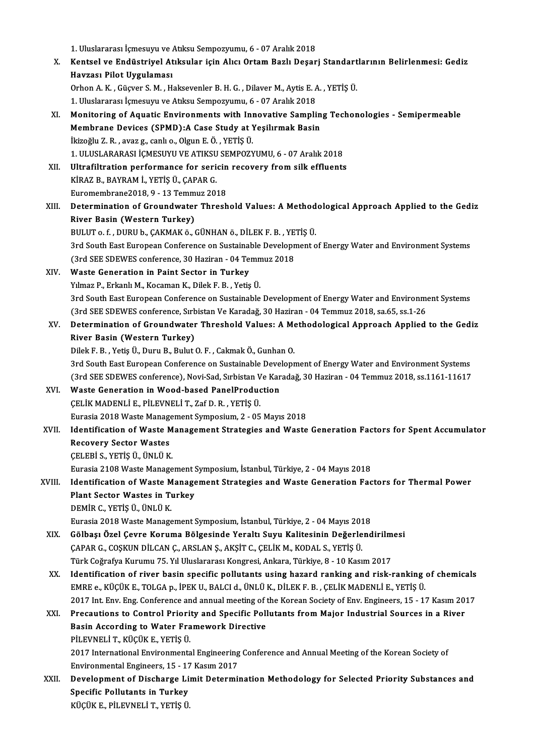1. Uluslararası İçmesuyu ve Atıksu Sempozyumu, 6 - 07 Aralık 2018<br>Kantasl ve Endüstriyal, Atıksular isin Alısı Ortam Bazlı Desar

X. Kentsel ve Endüstriyel Atıksular için Alıcı OrtamBazlı Deşarj Standartlarının Belirlenmesi: Gediz 1. Uluslararası İçmesuyu ve *ı*<br>Kentsel ve Endüstriyel At<br>Havzası Pilot Uygulaması<br><sup>Orbon A. K. Güsyer S. M. H.</sub></sup> Kentsel ve Endüstriyel Atıksular için Alıcı Ortam Bazlı Deşarj Standart<br>Havzası Pilot Uygulaması<br>Orhon A.K., Güçver S.M., Haksevenler B.H.G., Dilaver M., Aytis E.A., YETİŞ Ü.<br>1. Uluqlaranası İsmeeyyu ve Atıksu Samnewwww. 6 Havzası Pilot Uygulaması<br>Orhon A. K. , Güçver S. M. , Haksevenler B. H. G. , Dilaver M., Aytis E. A<br>1. Uluslararası İçmesuyu ve Atıksu Sempozyumu, 6 - 07 Aralık 2018<br>Monitoring of Aquatis Environments with Innovative Sempl

- Orhon A. K. , Güçver S. M. , Haksevenler B. H. G. , Dilaver M., Aytis E. A. , YETİŞ Ü.<br>1. Uluslararası İçmesuyu ve Atıksu Sempozyumu, 6 07 Aralık 2018<br>XI. Monitoring of Aquatic Environments with Innovative Sampling Techo 1. Uluslararası İçmesuyu ve Atıksu Sempozyumu, 6 - 07 Aralık 2018<br>Monitoring of Aquatic Environments with Innovative Samplin<br>Membrane Devices (SPMD):A Case Study at Yeşilırmak Basin<br><sup>İltizoğlu 7, B., avaz a sanlı o Olgun E</sup> Membrane Devices (SPMD): A Case Study at Yeşilırmak Basin İkizoğlu Z.R., avaz g., canlı o., Olgun E.Ö., YETİŞÜ. 1.ULUSLARARASI İÇMESUYUVEATIKSUSEMPOZYUMU,6 -07Aralık2018 ikizoğlu Z. R. , avaz g., canlı o., Olgun E. Ö. , YETİŞ Ü.<br>1. ULUSLARARASI İÇMESUYU VE ATIKSU SEMPOZYUMU, 6 - 07 Aralık 2018<br>XII. Ultrafiltration performance for sericin recovery from silk effluents<br>kip Az B. BAYRAM İ.
- 1. ULUSLARARASI İÇMESUYU VE ATIKSU<br>Ultrafiltration performance for seri<br>KİRAZ B., BAYRAM İ., YETİŞ Ü., ÇAPAR G.<br>Euromombrone2018-0 12 Tommuz 20 Ultrafiltration performance for sericin<br>KİRAZ B., BAYRAM İ., YETİŞ Ü., ÇAPAR G.<br>Euromembrane2018, 9 - 13 Temmuz 2018<br>Determination of Croundwater Threeb KİRAZ B., BAYRAM İ., YETİŞ Ü., ÇAPAR G.<br>Euromembrane2018, 9 - 13 Temmuz 2018<br>XIII. Determination of Groundwater Threshold Values: A Methodological Approach Applied to the Gediz
- River Basin (Western Turkey) Determination of Groundwater Threshold Values: A Method<br>River Basin (Western Turkey)<br>BULUT o. f. , DURU b., ÇAKMAK ö., GÜNHAN ö., DİLEK F. B. , YETİŞ Ü.<br><sup>2nd South East Euronean Conference on Sustainable Development o</sup> River Basin (Western Turkey)<br>BULUT o. f. , DURU b., ÇAKMAK ö., GÜNHAN ö., DİLEK F. B. , YETİŞ Ü.<br>3rd South East European Conference on Sustainable Development of Energy Water and Environment Systems<br>(2rd SEE SDEWES confere

BULUT o. f. , DURU b., ÇAKMAK ö., GÜNHAN ö., DİLEK F. B. , YE<br>3rd South East European Conference on Sustainable Developn<br>(3rd SEE SDEWES conference, 30 Haziran - 04 Temmuz 2018<br>Weste Concration in Boint Sester in Turkey 3rd South East European Conference on Sustainal<br>(3rd SEE SDEWES conference, 30 Haziran - 04 Te:<br>XIV. Waste Generation in Paint Sector in Turkey<br>Velmas B. Erliank M. Kecaman K. Dilak E. B. Vetic

(3rd SEE SDEWES conference, 30 Haziran - 04 Temmuz 2018<br>Waste Generation in Paint Sector in Turkey<br>Yılmaz P., Erkanlı M., Kocaman K., Dilek F. B. , Yetiş Ü. Waste Generation in Paint Sector in Turkey<br>Yılmaz P., Erkanlı M., Kocaman K., Dilek F. B. , Yetiş Ü.<br>3rd South East European Conference on Sustainable Development of Energy Water and Environment Systems<br>Card SEE SDEWES con Yılmaz P., Erkanlı M., Kocaman K., Dilek F. B. , Yetiş Ü.<br>3rd South East European Conference on Sustainable Development of Energy Water and Environme<br>(3rd SEE SDEWES conference, Sırbistan Ve Karadağ, 30 Haziran - 04 Temmuz 3rd South East European Conference on Sustainable Development of Energy Water and Environment Systems<br>(3rd SEE SDEWES conference, Sırbistan Ve Karadağ, 30 Haziran - 04 Temmuz 2018, sa.65, ss.1-26<br>XV. Determination of Groun

# (3rd SEE SDEWES conference, Sırbistan Ve Karadağ, 30 Haziran - 04 Temmuz 2018, sa.65, ss.1-26<br>Determination of Groundwater Threshold Values: A Methodological Approach Applied to the Gediz<br>River Basin (Western Turkey)

DilekF.B. ,YetişÜ.,DuruB.,BulutO.F. ,CakmakÖ.,GunhanO.

River Basin (Western Turkey)<br>Dilek F. B. , Yetiş Ü., Duru B., Bulut O. F. , Cakmak Ö., Gunhan O.<br>3rd South East European Conference on Sustainable Development of Energy Water and Environment Systems<br>Card SEE SDEWES confere Dilek F. B. , Yetiş Ü., Duru B., Bulut O. F. , Cakmak Ö., Gunhan O.<br>3rd South East European Conference on Sustainable Development of Energy Water and Environment Systems<br>(3rd SEE SDEWES conference), Novi-Sad, Sırbistan Ve (3rd SEE SDEWES conference), Novi-Sad, Sırbistan Ve Karadağ, 30 Haziran - 04 Temmuz 2018, ss.1161-11617

- XVI. Waste Generation in Wood-based PanelProduction<br>CELIK MADENLI E., PILEVNELI T., Zaf D. R., YETIŞ Ü. Waste Generation in Wood-based PanelProduction<br>ÇELİK MADENLİ E., PİLEVNELİ T., Zaf D. R. , YETİŞ Ü.<br>Eurasia 2018 Waste Management Symposium, 2 - 05 Mayıs 2018<br>Identification of Waste Management Strategies and Waste
- CELIK MADENLI E., PILEVNELI T., Zaf D. R. , YETIŞ Ü.<br>Eurasia 2018 Waste Management Symposium, 2 05 Mayıs 2018<br>XVII. Identification of Waste Management Strategies and Waste Generation Factors for Spent Accumulator<br>Pegever Eurasia 2018 Waste Manage<br>Identification of Waste<br>Recovery Sector Wastes<br>CELEPLS - VETIS (L. UNLU V **Identification of Waste M<br>Recovery Sector Wastes<br>ÇELEBİ S., YETİŞ Ü., ÜNLÜ K.<br>Furasia 2108 Waste Manage** Recovery Sector Wastes<br>ÇELEBİ S., YETİŞ Ü., ÜNLÜ K.<br>Eurasia 2108 Waste Management Symposium, İstanbul, Türkiye, 2 - 04 Mayıs 2018

XVIII. Identification of Waste Management Strategies and Waste Generation Factors for Thermal Power **Eurasia 2108 Waste Management State In**<br>Identification of Waste Manage<br>Plant Sector Wastes in Turkey<br>PEMIR C. VETIS <u>il JIMI il K</u> **Identification of Waste M<br>Plant Sector Wastes in Ti<br>DEMİR C., YETİŞ Ü., ÜNLÜ K.<br>Funssis 2018 Waste Manazs** 

DEMİR C., YETİŞ Ü., ÜNLÜ K.<br>Eurasia 2018 Waste Management Symposium, İstanbul, Türkiye, 2 - 04 Mayıs 2018

- DEMİR C., YETİŞ Ü., ÜNLÜ K.<br>Eurasia 2018 Waste Management Symposium, İstanbul, Türkiye, 2 04 Mayıs 2018<br>XIX. Gölbaşı Özel Çevre Koruma Bölgesinde Yeraltı Suyu Kalitesinin Değerlendirilmesi<br>CABAR C. COSKUN DİLGAN C. A Eurasia 2018 Waste Management Symposium, İstanbul, Türkiye, 2 - 04 Mayıs 201<br>Gölbaşı Özel Çevre Koruma Bölgesinde Yeraltı Suyu Kalitesinin Değerle<br>ÇAPAR G., COŞKUN DİLCAN Ç., ARSLAN Ş., AKŞİT C., ÇELİK M., KODAL S., YETİŞ Gölbaşı Özel Çevre Koruma Bölgesinde Yeraltı Suyu Kalitesinin Değerlendirilm<br>ÇAPAR G., COŞKUN DİLCAN Ç., ARSLAN Ş., AKŞİT C., ÇELİK M., KODAL S., YETİŞ Ü.<br>Türk Coğrafya Kurumu 75. Yıl Uluslararası Kongresi, Ankara, Türkiye CAPAR G., COSKUN DILCAN C., ARSLAN S., AKSIT C., CELIK M., KODAL S., YETIS Ü.<br>Türk Coğrafya Kurumu 75. Yıl Uluslararası Kongresi, Ankara, Türkiye, 8 - 10 Kasım 2017<br>XX. Identification of river basin specific pollutants usi
- Türk Coğrafya Kurumu 75. Yıl Uluslararası Kongresi, Ankara, Türkiye, 8 10 Kasım 2017<br>Identification of river basin specific pollutants using hazard ranking and risk-ranking<br>EMRE e., KÜÇÜK E., TOLGA p., İPEK U., BALCI d., Identification of river basin specific pollutants using hazard ranking and risk-ranking of chemicals<br>EMRE e., KÜÇÜK E., TOLGA p., İPEK U., BALCI d., ÜNLÜ K., DİLEK F. B. , ÇELİK MADENLİ E., YETİŞ Ü.<br>2017 Int. Env. Eng. Con 2017 Int. Env. Eng. Conference and annual meeting of the Korean Society of Env. Engineers, 15 - 17 Kasım 2017
- EMRE e., KÜÇÜK E., TOLGA p., İPEK U., BALCI d., ÜNLÜ K., DİLEK F. B. , ÇELİK MADENLİ E., YETİŞ Ü.<br>2017 Int. Env. Eng. Conference and annual meeting of the Korean Society of Env. Engineers, 15 17 Kasım 20<br>XXI. Precautions PİLEVNELİ T., KÜÇÜK E., YETİŞ Ü. Basin According to Water Framework Directive<br>PİLEVNELİ T., KÜÇÜK E., YETİŞ Ü.<br>2017 International Environmental Engineering Conference and Annual Meeting of the Korean Society of<br>Environmental Engineers 15 - 17 Kosum 2017 PİLEVNELİ T., KÜÇÜK E., YETİŞ Ü.<br>2017 International Environmental Engineering<br>Environmental Engineers, 15 - 17 Kasım 2017<br>Pevelenment of Dischause Limit Determi

2017 International Environmental Engineering Conference and Annual Meeting of the Korean Society of<br>Environmental Engineers, 15 - 17 Kasım 2017<br>XXII. Development of Discharge Limit Determination Methodology for Selected Pr Environmental Engineers, 15 - 17 Kasım 2017<br>Development of Discharge Limit Determination Methodology for Selected Priority Substances and<br>Specific Pollutants in Turkey KÜÇÜKE.,PİLEVNELİT.,YETİŞÜ.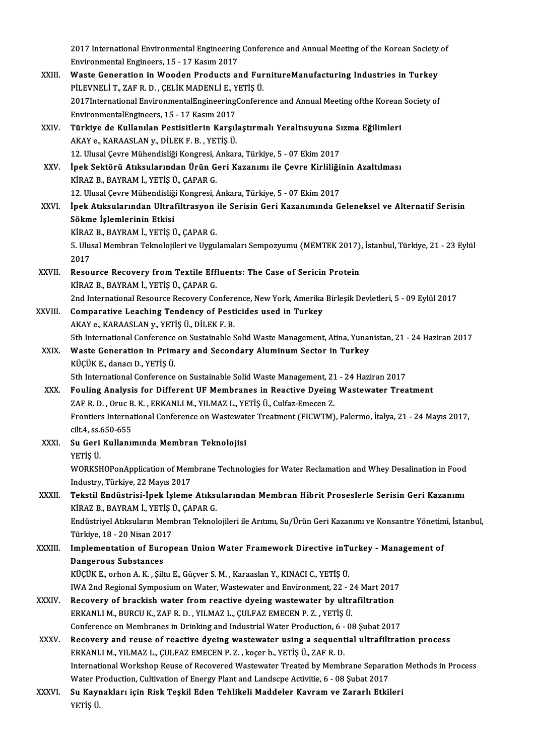|              | 2017 International Environmental Engineering Conference and Annual Meeting of the Korean Society of                |
|--------------|--------------------------------------------------------------------------------------------------------------------|
|              | Environmental Engineers, 15 - 17 Kasım 2017                                                                        |
| XXIII.       | Waste Generation in Wooden Products and FurnitureManufacturing Industries in Turkey                                |
|              | PİLEVNELİ T., ZAF R. D., ÇELİK MADENLİ E., YETİŞ Ü.                                                                |
|              | 2017International EnvironmentalEngineeringConference and Annual Meeting ofthe Korean Society of                    |
|              | EnvironmentalEngineers, 15 - 17 Kasım 2017                                                                         |
| XXIV.        | Türkiye de Kullanılan Pestisitlerin Karşılaştırmalı Yeraltısuyuna Sızma Eğilimleri                                 |
|              | AKAY e., KARAASLAN y., DİLEK F. B., YETİŞ Ü.                                                                       |
|              | 12. Ulusal Çevre Mühendisliği Kongresi, Ankara, Türkiye, 5 - 07 Ekim 2017                                          |
| XXV          | İpek Sektörü Atıksularından Ürün Geri Kazanımı ile Çevre Kirliliğinin Azaltılması                                  |
|              | KİRAZ B., BAYRAM İ., YETİŞ Ü., ÇAPAR G.                                                                            |
|              | 12. Ulusal Çevre Mühendisliği Kongresi, Ankara, Türkiye, 5 - 07 Ekim 2017                                          |
| XXVI.        | İpek Atıksularından Ultrafiltrasyon ile Serisin Geri Kazanımında Geleneksel ve Alternatif Serisin                  |
|              | Sökme İşlemlerinin Etkisi                                                                                          |
|              | KİRAZ B., BAYRAM İ., YETİŞ Ü., ÇAPAR G.                                                                            |
|              | 5. Ulusal Membran Teknolojileri ve Uygulamaları Sempozyumu (MEMTEK 2017), İstanbul, Türkiye, 21 - 23 Eylül<br>2017 |
| XXVII.       | Resource Recovery from Textile Effluents: The Case of Sericin Protein                                              |
|              | KİRAZ B., BAYRAM İ., YETİŞ Ü., ÇAPAR G.                                                                            |
|              | 2nd International Resource Recovery Conference, New York, Amerika Birleşik Devletleri, 5 - 09 Eylül 2017           |
| XXVIII.      | Comparative Leaching Tendency of Pesticides used in Turkey                                                         |
|              | AKAY e., KARAASLAN y., YETİŞ Ü., DİLEK F. B.                                                                       |
|              | 5th International Conference on Sustainable Solid Waste Management, Atina, Yunanistan, 21 - 24 Haziran 2017        |
| XXIX.        | Waste Generation in Primary and Secondary Aluminum Sector in Turkey                                                |
|              | KÜÇÜK E, danacı D., YETİŞ Ü.                                                                                       |
|              | 5th International Conference on Sustainable Solid Waste Management, 21 - 24 Haziran 2017                           |
| XXX.         | Fouling Analysis for Different UF Membranes in Reactive Dyeing Wastewater Treatment                                |
|              | ZAF R. D., Oruc B. K., ERKANLI M., YILMAZ L., YETİŞ Ü., Culfaz-Emecen Z.                                           |
|              | Frontiers International Conference on Wastewater Treatment (FICWTM), Palermo, İtalya, 21 - 24 Mayıs 2017,          |
|              | cilt 4, ss 650-655                                                                                                 |
| XXXI.        | Su Geri Kullanımında Membran Teknolojisi                                                                           |
|              | YETİŞ Ü.                                                                                                           |
|              | WORKSHOPonApplication of Membrane Technologies for Water Reclamation and Whey Desalination in Food                 |
|              | Industry, Türkiye, 22 Mayıs 2017                                                                                   |
| XXXII.       | Tekstil Endüstrisi-İpek İşleme Atıksularından Membran Hibrit Proseslerle Serisin Geri Kazanımı                     |
|              | KİRAZ B., BAYRAM İ., YETİŞ Ü., ÇAPAR G.                                                                            |
|              | Endüstriyel Atıksuların Membran Teknolojileri ile Arıtımı, Su/Ürün Geri Kazanımı ve Konsantre Yönetimi, İstanbul,  |
|              | Türkiye, 18 - 20 Nisan 2017                                                                                        |
| XXXIII.      | Implementation of European Union Water Framework Directive inTurkey - Management of                                |
|              | <b>Dangerous Substances</b>                                                                                        |
|              | KÜÇÜK E., orhon A. K., Şiltu E., Güçver S. M., Karaaslan Y., KINACI C., YETİŞ Ü.                                   |
|              | IWA 2nd Regional Symposium on Water, Wastewater and Environment, 22 - 24 Mart 2017                                 |
| <b>XXXIV</b> | Recovery of brackish water from reactive dyeing wastewater by ultrafiltration                                      |
|              | ERKANLI M., BURCU K., ZAF R. D., YILMAZ L., ÇULFAZ EMECEN P. Z., YETİŞ Ü.                                          |
|              | Conference on Membranes in Drinking and Industrial Water Production, 6 - 08 Şubat 2017                             |
| <b>XXXV</b>  | Recovery and reuse of reactive dyeing wastewater using a sequential ultrafiltration process                        |
|              | ERKANLI M., YILMAZ L., ÇULFAZ EMECEN P. Z., koçer b., YETİŞ Ü., ZAF R. D.                                          |
|              | International Workshop Reuse of Recovered Wastewater Treated by Membrane Separation Methods in Process             |
|              | Water Production, Cultivation of Energy Plant and Landscpe Activitie, 6 - 08 Şubat 2017                            |
| XXXVI.       | Su Kaynakları için Risk Teşkil Eden Tehlikeli Maddeler Kavram ve Zararlı Etkileri                                  |
|              | YETİŞ Ü.                                                                                                           |
|              |                                                                                                                    |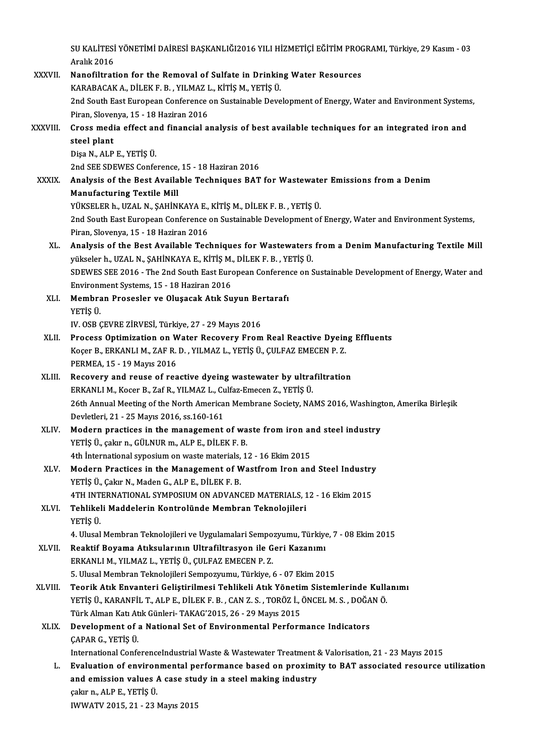SU KALİTESİ YÖNETİMİ DAİRESİ BAŞKANLIĞI2016 YILI HİZMETİÇİ EĞİTİM PROGRAMI, Türkiye, 29 Kasım - 03<br>Aralık 2016 SU KALİTESİ<br>Aralık 2016<br>Nanafiltrat SU KALITESI YÖNETIMI DAIRESI BAŞKANLIĞI2016 YILI HIZMETIÇI EĞITIM PROC<br>Aralık 2016<br>XXXVII. Nanofiltration for the Removal of Sulfate in Drinking Water Resources<br>KARARACAKA A DU EK E BAYILMAZ LAKIRIN A VETİŞ Ü

- Aralık 2016<br>Nanofiltration for the Removal of Sulfate in Drinkin<br>KARABACAK A., DİLEK F. B. , YILMAZ L., KİTİŞ M., YETİŞ Ü.<br>2nd South Fost European Conference en Sustainable Deve 2nd South East European Conference on Sustainable Development of Energy, Water and Environment Systems,<br>Piran, Slovenya, 15 - 18 Haziran 2016 KARABACAK A., DİLEK F. B., YILMAZ L., KİTİŞ M., YETİŞ Ü. 2nd South East European Conference on Sustainable Development of Energy, Water and Environment System<br>Piran, Slovenya, 15 - 18 Haziran 2016<br>XXXVIII. Cross media effect and financial analysis of best available techniques fo
- Piran, Slover<br>Cross medi<br>steel plant<br>Disc N ALP Cross media effect an<br>steel plant<br>Dişa N., ALP E., YETİŞ Ü.<br>2nd SEE SDEWES Confo steel plant<br>Dişa N., ALP E., YETİŞ Ü.<br>2nd SEE SDEWES Conference, 15 - 18 Haziran 2016<br>Analysis of the Bost Available Teshniques BAT

## Dişa N., ALP E., YETİŞ Ü.<br>2nd SEE SDEWES Conference, 15 - 18 Haziran 2016<br>XXXIX. Analysis of the Best Available Techniques BAT for Wastewater Emissions from a Denim<br>Manufasturing Textile Mill 2nd SEE SDEWES Conference<br>Analysis of the Best Availa<br>Manufacturing Textile Mill<br>VÜKSELED b. UZAL N. SAHİN Analysis of the Best Available Techniques BAT for Wastewate<br>Manufacturing Textile Mill<br>YÜKSELER h., UZAL N., ŞAHİNKAYA E., KİTİŞ M., DİLEK F. B. , YETİŞ Ü.<br>2nd South East European Conference on Sustainable Development of

Manufacturing Textile Mill<br>YÜKSELER h., UZAL N., ŞAHİNKAYA E., KİTİŞ M., DİLEK F. B. , YETİŞ Ü.<br>2nd South East European Conference on Sustainable Development of Energy, Water and Environment Systems,<br>Piran, Slavenya, 15,, YÜKSELER h., UZAL N., ŞAHİNKAYA E.,<br>2nd South East European Conference<br>Piran, Slovenya, 15 - 18 Haziran 2016<br>Analysis of the Best Available Tesl 2nd South East European Conference on Sustainable Development of Energy, Water and Environment Systems,<br>Piran, Slovenya, 15 - 18 Haziran 2016<br>XL. Analysis of the Best Available Techniques for Wastewaters from a Denim Manuf

- Piran, Slovenya, 15 18 Haziran 2016<br><mark>Analysis of the Best Available Techniques for Wastewaters</mark><br>yükseler h., UZAL N., ŞAHİNKAYA E., KİTİŞ M., DİLEK F. B. , YETİŞ Ü.<br>SDEWES SEE 2016, "The 2nd South Fest Europeen Conferens Analysis of the Best Available Techniques for Wastewaters from a Denim Manufacturing Textile Mill<br>yükseler h., UZAL N., ŞAHİNKAYA E., KİTİŞ M., DİLEK F. B. , YETİŞ Ü.<br>SDEWES SEE 2016 - The 2nd South East European Conferenc yükseler h., UZAL N., ŞAHİNKAYA E., KİTİŞ M., DİLEK F. B. , YETİŞ Ü.<br>SDEWES SEE 2016 - The 2nd South East European Conference on Sustainable Development of Energy, Water and<br>Environment Systems, 15 - 18 Haziran 2016 SDEWES SEE 2016 - The 2nd South East European Conferen<br>Environment Systems, 15 - 18 Haziran 2016<br>XLI. Membran Prosesler ve Oluşacak Atık Suyun Bertarafı<br>VETİS Ü
- Environi<br>Membra<br>YETİŞ Ü.<br>IV. OSB 6 Membran Prosesler ve Oluşacak Atık Suyun Be:<br>YETİŞ Ü.<br>IV. OSB ÇEVRE ZİRVESİ, Türkiye, 27 - 29 Mayıs 2016<br>Prosess Ontimiration on Water Beseyery From

- XLI . Process Optimization onWater Recovery FromReal Reactive Dyeing Effluents IV. OSB ÇEVRE ZİRVESİ, Türkiye, 27 - 29 Mayıs 2016<br>Process Optimization on Water Recovery From Real Reactive Dyein<br>Koçer B., ERKANLI M., ZAF R. D. , YILMAZ L., YETİŞ Ü., ÇULFAZ EMECEN P. Z.<br>PERMEA 15 - 19 Mayıs 2016 Process Optimization on W<br>Koçer B., ERKANLI M., ZAF R.<br>PERMEA, 15 - 19 Mayıs 2016<br>Bosovoru and rouse of rea Koçer B., ERKANLI M., ZAF R. D. , YILMAZ L., YETİŞ Ü., ÇULFAZ EMECEN P. Z.<br>PERMEA, 15 - 19 Mayıs 2016<br>XLIII. Recovery and reuse of reactive dyeing wastewater by ultrafiltration<br>ERKANLI M., Kocer B., Zaf R., YILMAZ L., Culf
- Recovery and reuse of reactive dyeing wastewater by ultrafiltration 26th Annual Meeting of the North American Membrane Society, NAMS 2016, Washington, Amerika Birleşik Devletleri,21 -25Mayıs2016, ss.160-161 26th Annual Meeting of the North American Membrane Society, NAMS 2016, Washing<br>Devletleri, 21 - 25 Mayıs 2016, ss.160-161<br>XLIV. Modern practices in the management of waste from iron and steel industry<br>VETIS Ü seltup, CÜLNU
- Devletleri, 21 25 Mayıs 2016, ss.160-161<br>Modern practices in the management of wa<br>YETİŞ Ü., çakır n., GÜLNUR m., ALP E., DİLEK F. B.<br>4th İnternational sunosium en urate materiale 1 Modern practices in the management of waste from iron al<br>YETİŞ Ü., çakır n., GÜLNUR m., ALP E., DİLEK F. B.<br>4th İnternational syposium on waste materials, 12 - 16 Ekim 2015<br>Modern Prestises in the Manassment of Westfrom Ir YETİŞ Ü., çakır n., GÜLNUR m., ALP E., DİLEK F. B.<br>4th İnternational syposium on waste materials, 12 - 16 Ekim 2015<br>XLV. Modern Practices in the Management of Wastfrom Iron and Steel Industry<br>VETİŞ Ü. Colup N. Moden G. ALB
- 4th International syposium on waste materials,<br>Modern Practices in the Management of W<br>YETİŞ Ü., Çakır N., Maden G., ALP E., DİLEK F. B.<br>4TH INTERNATIONAL SYMPOSUM ON ADVAN Modern Practices in the Management of Wastfrom Iron and Steel Industry<br>YETİŞ Ü., Çakır N., Maden G., ALP E., DİLEK F. B.<br>4TH INTERNATIONAL SYMPOSIUM ON ADVANCED MATERIALS, 12 - 16 Ekim 2015<br>Tehlikeli Maddelerin Kontrolünde
- YETİŞ Ü., Çakır N., Maden G., ALP E., DİLEK F. B.<br>4TH INTERNATIONAL SYMPOSIUM ON ADVANCED MATERIALS, 1<br>XLVI. Tehlikeli Maddelerin Kontrolünde Membran Teknolojileri<br>veris ü 4TH INT<br>Tehlikel<br>YETİŞ Ü. Tehlikeli Maddelerin Kontrolünde Membran Teknolojileri<br>YETİŞ Ü.<br>4. Ulusal Membran Teknolojileri ve Uygulamalari Sempozyumu, Türkiye, 7 - 08 Ekim 2015<br>Peaktif Payama Atıksularının Ultrafiltrasyon ile Cari Kazanımı

- YETİŞ Ü.<br>4. Ulusal Membran Teknolojileri ve Uygulamalari Sempozyumu, Türkiye<br>XLVII. Reaktif Boyama Atıksularının Ultrafiltrasyon ile Geri Kazanımı<br>REKANLLM XILMAZLI YETİŞ Ü. CULEAZ EMECEN B.Z 4. Ulusal Membran Teknolojileri ve Uygulamalari Sempo:<br>Reaktif Boyama Atıksularının Ultrafiltrasyon ile G<br>ERKANLI M., YILMAZ L., YETİŞ Ü., ÇULFAZ EMECEN P. Z.<br>5. Ulusal Membran Teknolojileri Semperunun Türkiye 1 5. Reaktif Boyama Atıksularının Ultrafiltrasyon ile Geri Kazanımı<br>ERKANLI M., YILMAZ L., YETİŞ Ü., ÇULFAZ EMECEN P. Z.<br>5. Ulusal Membran Teknolojileri Sempozyumu, Türkiye, 6 - 07 Ekim 2015
- ERKANLI M., YILMAZ L., YETİŞ Ü., ÇULFAZ EMECEN P. Z.<br>5. Ulusal Membran Teknolojileri Sempozyumu, Türkiye, 6 07 Ekim 2015<br>XLVIII. Teorik Atık Envanteri Geliştirilmesi Tehlikeli Atık Yönetim Sistemlerinde Kullanımı<br>199 5. Ulusal Membran Teknolojileri Sempozyumu, Türkiye, 6 - 07 Ekim 2015<br>Teorik Atık Envanteri Geliştirilmesi Tehlikeli Atık Yönetim Sistemlerinde Kulla<br>YETİŞ Ü., KARANFİL T., ALP E., DİLEK F. B. , CAN Z. S. , TORÖZ İ., ÖNCEL Teorik Atık Envanteri Geliştirilmesi Tehlikeli Atık Yöneti<br>YETİŞ Ü., KARANFİL T., ALP E., DİLEK F. B. , CAN Z. S. , TORÖZ İ., (<br>Türk Alman Katı Atık Günleri- TAKAG'2015, 26 - 29 Mayıs 2015<br>Develenment of a National Set of YETİŞ Ü., KARANFİL T., ALP E., DİLEK F. B. , CAN Z. S. , TORÖZ İ., ÖNCEL M. S. , DOĞAN Ö.<br>Türk Alman Katı Atık Günleri- TAKAG'2015, 26 - 29 Mayıs 2015<br>XLIX. Development of a National Set of Environmental Performance In Türk Alman Katı Atık Günleri-TAKAG'2015, 26 - 29 Mayıs 2015

International ConferenceIndustrial Waste & Wastewater Treatment & Valorisation, 21 - 23 Mayıs 2015

CAPAR G., YETİŞ Ü.<br>International ConferenceIndustrial Waste & Wastewater Treatment & Valorisation, 21 - 23 Mayıs 2015<br>L. Evaluation of environmental performance based on proximity to BAT associated resource utilization<br>and International ConferenceIndustrial Waste & Wastewater Treatment &<br>Evaluation of environmental performance based on proximit<br>and emission values A case study in a steel making industry<br>colure ALBE VETIS it Evaluation of environ<br>and emission values *l*<br>çakır n., ALP E., YETİŞ Ü.<br>WWATV 2015 21 - 22 l and emission values A case study in a steel making industry<br>çakır n., ALP E., YETİŞ Ü.<br>IWWATV 2015, 21 - 23 Mayıs 2015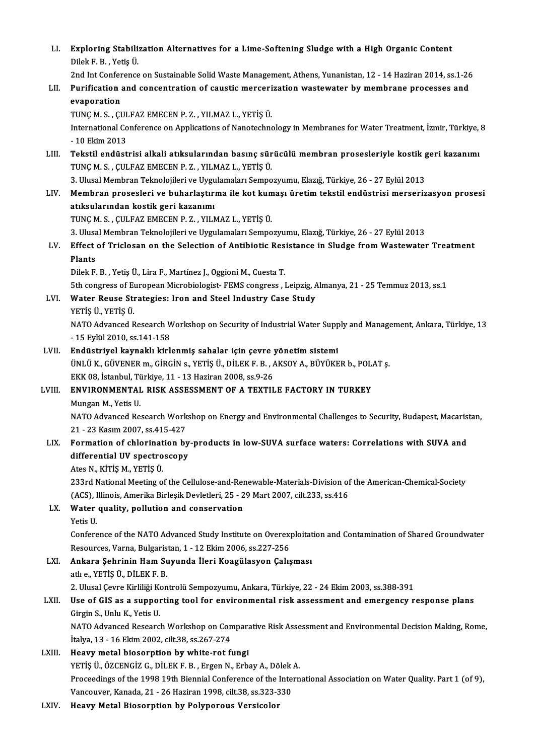- LI. Exploring Stabilization Alternatives for a Lime-Softening Sludge with a High Organic Content Exploring Stabili:<br>Dilek F. B. , Yetiş Ü.<br>2nd Int Conference Exploring Stabilization Alternatives for a Lime-Softening Sludge with a High Organic Content<br>Dilek F. B. , Yetiş Ü.<br>2nd Int Conference on Sustainable Solid Waste Management, Athens, Yunanistan, 12 - 14 Haziran 2014, ss.1-2 Dilek F. B. , Yetiş Ü.<br>2nd Int Conference on Sustainable Solid Waste Management, Athens, Yunanistan, 12 - 14 Haziran 2014, ss.1-26<br>2011. Purification and concentration of caustic mercerization wastewater by membrane pr **2nd Int Confer<br>Purification<br>evaporation<br>TINC M S - CI** Purification and concentration of caustic merceri<br>evaporation<br>TUNÇ M. S. , ÇULFAZ EMECEN P. Z. , YILMAZ L., YETİŞ Ü.<br>International Conference en Applications of Nanotechne evaporation<br>TUNÇ M. S. , ÇULFAZ EMECEN P. Z. , YILMAZ L., YETİŞ Ü.<br>International Conference on Applications of Nanotechnology in Membranes for Water Treatment, İzmir, Türkiye, 8<br>- 10 Ekim 2013 TUNÇ M. S. , ÇUL<br>International Co<br>- 10 Ekim 2013<br>Tekstil andüst International Conference on Applications of Nanotechnology in Membranes for Water Treatment, İzmir, Türkiye,<br>10 Ekim 2013<br>LIII. Tekstil endüstrisi alkali atıksularından basınç sürücülü membran prosesleriyle kostik geri kaz - 10 Ekim 2013<br>Tekstil endüstrisi alkali atıksularından basınç sür<br>TUNÇ M. S. , ÇULFAZ EMECEN P. Z. , YILMAZ L., YETİŞ Ü.<br>2. Ulucel Membran Teknolojileri ve Uvaulamaları Semne Tekstil endüstrisi alkali atıksularından basınç sürücülü membran prosesleriyle kostik g<br>TUNÇ M. S. , ÇULFAZ EMECEN P. Z. , YILMAZ L., YETİŞ Ü.<br>3. Ulusal Membran Teknolojileri ve Uygulamaları Sempozyumu, Elazığ, Türkiye, 26 TUNÇ M. S. , ÇULFAZ EMECEN P. Z. , YILMAZ L., YETİŞ Ü.<br>3. Ulusal Membran Teknolojileri ve Uygulamaları Sempozyumu, Elazığ, Türkiye, 26 - 27 Eylül 2013<br>LIV. Membran prosesleri ve buharlaştırma ile kot kumaşı üretim teks atıksularından kostik geri kazanımı TUNÇM.S. ,ÇULFAZ EMECENP.Z. ,YILMAZ L.,YETİŞÜ. atıksularından kostik geri kazanımı<br>TUNÇ M. S. , ÇULFAZ EMECEN P. Z. , YILMAZ L., YETİŞ Ü.<br>3. Ulusal Membran Teknolojileri ve Uygulamaları Sempozyumu, Elazığ, Türkiye, 26 - 27 Eylül 2013<br>Effect of Triclesen en the Selectio LV. Effect of Triclosan on the Selection of Antibiotic Resistance in Sludge fromWastewater Treatment 3. Ulusa<br>Effect<br>Plants DilekF.B. ,YetişÜ.,Lira F.,Martínez J.,OggioniM.,CuestaT. Plants<br>Dilek F. B. , Yetiş Ü., Lira F., Martínez J., Oggioni M., Cuesta T.<br>5th congress of European Microbiologist- FEMS congress , Leipzig, Almanya, 21 - 25 Temmuz 2013, ss.1<br>Wetar Rayse Strategies: Jran and Steel Industr LVI. Water Reuse Strategies: Iron and Steel Industry Case Study 5th congress of Eury<br>**Water Reuse Still**<br>YETİŞ Ü., YETİŞ Ü.<br>NATO Advanced E Water Reuse Strategies: Iron and Steel Industry Case Study<br>YETİŞ Ü., YETİŞ Ü.<br>NATO Advanced Research Workshop on Security of Industrial Water Supply and Management, Ankara, Türkiye, 13<br>15 Erlül 2010 cs 141 159 YETİŞ Ü., YETİŞ Ü.<br>NATO Advanced Research V<br>- 15 Eylül 2010, ss.141-158<br>Endüstrival kaynaklı kirl NATO Advanced Research Workshop on Security of Industrial Water Supp<br>- 15 Eylül 2010, ss.141-158<br>LVII. Endüstriyel kaynaklı kirlenmiş sahalar için çevre yönetim sistemi<br>iNU Ü K CÜNENER m CİRCİN s. YETİS Ü DÜ EKER AKSOVA RÜ - 15 Eylül 2010, ss.141-158<br>Endüstriyel kaynaklı kirlenmiş sahalar için çevre yönetim sistemi<br>ÜNLÜ K., GÜVENER m., GİRGİN s., YETİŞ Ü., DİLEK F. B. , AKSOY A., BÜYÜKER b., POLAT ş. Endüstriyel kaynaklı kirlenmiş sahalar için çevre<br>ÜNLÜ K., GÜVENER m., GİRGİN s., YETİŞ Ü., DİLEK F. B. , /<br>EKK 08, İstanbul, Türkiye, 11 - 13 Haziran 2008, ss.9-26<br>ENVIRONMENTAL RISK ASSESSMENT OF A TEVTIL LVIII. ENVIRONMENTAL RISK ASSESSMENT OF A TEXTILE FACTORY IN TURKEY<br>Mungan M., Yetis U. EKK 08, İstanbul, Türkiye, 11 - 13 Haziran 2008, ss.9-26 ENVIRONMENTAL RISK ASSESSMENT OF A TEXTILE FACTORY IN TURKEY<br>Mungan M., Yetis U.<br>NATO Advanced Research Workshop on Energy and Environmental Challenges to Security, Budapest, Macaristan,<br>21 - 22 Kesum 2007, ss.415, 427 Mungan M., Yetis U.<br>NATO Advanced Research Work<br>21 - 23 Kasım 2007, ss.415-427<br>Formation of shlorination by NATO Advanced Research Workshop on Energy and Environmental Challenges to Security, Budapest, Macaris<br>21 - 23 Kasım 2007, ss.415-427<br>LIX. Formation of chlorination by-products in low-SUVA surface waters: Correlations with 21 - 23 Kasım 2007, ss.415-427<br>Formation of chlorination by-products in low-SUVA surface waters: Correlations with SUVA and<br>differential UV spectroscopy Ates N., KİTİŞ M., YETİŞ Ü. 233rd National Meeting of the Cellulose-and-Renewable-Materials-Division of the American-Chemical-Society Ates N., KİTİŞ M., YETİŞ Ü.<br>233rd National Meeting of the Cellulose-and-Renewable-Materials-Division of<br>(ACS), Illinois, Amerika Birleşik Devletleri, 25 - 29 Mart 2007, cilt.233, ss.416<br>Water avality, pollution and conserv LX. Water quality, pollution and conservation<br>Yetis U. (ACS), I<br>Water<br>Yetis U. Water quality, pollution and conservation<br>Yetis U.<br>Conference of the NATO Advanced Study Institute on Overexploitation and Contamination of Shared Groundwater Yetis U.<br>Conference of the NATO Advanced Study Institute on Overex<br>Resources, Varna, Bulgaristan, 1 - 12 Ekim 2006, ss.227-256<br>Ankara Sehrinin Ham Suyunda İleri Koagülasyon Caly Conference of the NATO Advanced Study Institute on Overexploitat<br>Resources, Varna, Bulgaristan, 1 - 12 Ekim 2006, ss.227-256<br>LXI. Ankara Şehrinin Ham Suyunda İleri Koagülasyon Çalışması<br>atlı e. YETİS Ü. DİLEKER Resources, Varna, Bulgaristan, 1 - 12 Ekim 2006, ss.227-256<br>LXI. Ankara Şehrinin Ham Suyunda İleri Koagülasyon Çalışması<br>atlı e., YETİŞ Ü., DİLEK F. B. Ankara Şehrinin Ham Suyunda İleri Koagülasyon Çalışması<br>atlı e., YETİŞ Ü., DİLEK F. B.<br>2. Ulusal Çevre Kirliliği Kontrolü Sempozyumu, Ankara, Türkiye, 22 - 24 Ekim 2003, ss.388-391<br>Hee of CIS as a sunnarting tool for anyir ath e., YETİŞ Ü., DİLEK F. B.<br>2. Ulusal Çevre Kirliliği Kontrolü Sempozyumu, Ankara, Türkiye, 22 - 24 Ekim 2003, ss.388-391<br>2. Use of GIS as a supporting tool for environmental risk assessment and emergency response plans<br> 2. Ulusal Çevre Kirliliği Ko<br>Use of GIS as a suppol<br>Girgin S., Unlu K., Yetis U.<br>NATO Advanced Beseers Use of GIS as a supporting tool for environmental risk assessment and emergency response plans<br>Girgin S., Unlu K., Yetis U.<br>NATO Advanced Research Workshop on Comparative Risk Assessment and Environmental Decision Making, Girgin S., Unlu K., Yetis U.<br>NATO Advanced Research Workshop on Comparative Risk Assessment and Environmental Decision Making, Rome,<br>İtalya, 13 - 16 Ekim 2002, cilt.38, ss.267-274 LXIII. Heavy metal biosorption by white-rot fungi İtalya, 13 - 16 Ekim 2002, cilt.38, ss.267-274<br>Heavy metal biosorption by white-rot fungi<br>YETİŞ Ü., ÖZCENGİZ G., DİLEK F. B. , Ergen N., Erbay A., Dölek A.<br>Presessings of the 1998-19th Bionnial Conference of the Intern Proceedings of the 1998 19th Biennial Conference of the International Association on Water Quality. Part 1 (of 9),<br>Vancouver, Kanada, 21 - 26 Haziran 1998, cilt.38, ss.323-330 YETİŞ Ü., ÖZCENGİZ G., DİLEK F. B. , Ergen N., Erbay A., Dölek<br>Proceedings of the 1998 19th Biennial Conference of the Inte<br>Vancouver, Kanada, 21 - 26 Haziran 1998, cilt.38, ss.323-330<br>Heauw Matel Biegenntion by Polynonous
- LXIV. Heavy Metal Biosorption by Polyporous Versicolor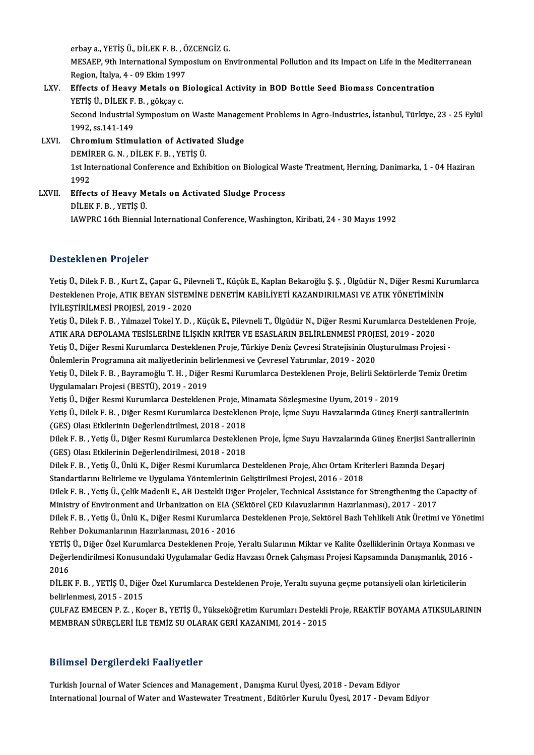erbay a., YETİŞ Ü., DİLEK F. B. , ÖZCENGİZ G.<br>MESAER Oth International Sumnasium on Er

erbay a., YETİŞ Ü., DİLEK F. B. , ÖZCENGİZ G.<br>MESAEP, 9th International Symposium on Environmental Pollution and its Impact on Life in the Mediterranean<br>Region, İtalya 4., 00 Eltim 1997 erbay a., YETİŞ Ü., DİLEK F. B. , Ö<br>MESAEP, 9th International Symp<br>Region, İtalya, 4 - 09 Ekim 1997<br>Fffesta of Hosuy, Metala on B MESAEP, 9th International Symposium on Environmental Pollution and its Impact on Life in the Medit<br>Region, İtalya, 4 - 09 Ekim 1997<br>LXV. Effects of Heavy Metals on Biological Activity in BOD Bottle Seed Biomass Concentrati Region, İtalya, 4 - 09 Ekim 1997<br>Effects of Heavy Metals on Biological Activity in BOD Bottle Seed Biomass Concentration

## Effects of Heavy Metals on Biological Activity in BOD Bottle Seed Biomass Concentration<br>YETİŞ Ü., DİLEK F. B. , gökçay c.<br>Second Industrial Symposium on Waste Management Problems in Agro-Industries, İstanbul, Türkiye, 23 -YETİŞ Ü., DİLEK F. B. , gökçay c.<br>Second Industrial Symposium on Waste Manage<br>1992, ss.141-149<br>Chromium Stimulation of Activated Sludge Second Industrial Symposium on Waste Manager<br>1992, ss.141-149<br>LXVI. Chromium Stimulation of Activated Sludge<br>DEMIPER C. N. DUEKE R. VETIS II

DEMİRERG.N. ,DİLEKF.B. ,YETİŞÜ. Chromium Stimulation of Activated Sludge<br>DEMİRER G. N. , DİLEK F. B. , YETİŞ Ü.<br>1st International Conference and Exhibition on Biological Waste Treatment, Herning, Danimarka, 1 - 04 Haziran<br>1992 DEMI<br>1st Int<br>1992<br>Effect 1st International Conference and Exhibition on Biological W<br>1992<br>LXVII. Effects of Heavy Metals on Activated Sludge Process<br>DRILEVE P VETIS II

1992<br>LXVII. Effects of Heavy Metals on Activated Sludge Process<br>DİLEK F. B. , YETİŞ Ü. IAWPRC 16th Biennial International Conference, Washington, Kiribati, 24 - 30 Mayıs 1992

#### Desteklenen Projeler

Desteklenen Projeler<br>Yetiş Ü., Dilek F. B. , Kurt Z., Çapar G., Pilevneli T., Küçük E., Kaplan Bekaroğlu Ş. Ş. , Ülgüdür N., Diğer Resmi Kurumlarca<br>Desteklaren Preja, ATIK REVAN SİSTEMİNE DENETİM KARİL İVETİ KAZANDIRIL MAS D'esteklenen'n Frojeler<br>Yetiş Ü., Dilek F. B. , Kurt Z., Çapar G., Pilevneli T., Küçük E., Kaplan Bekaroğlu Ş. Ş. , Ülgüdür N., Diğer Resmi Kui<br>Desteklenen Proje, ATIK BEYAN SİSTEMİNE DENETİM KABİLİYETİ KAZANDIRILMASI VE A Yetiş Ü., Dilek F. B. , Kurt Z., Çapar G., Pil<br>Desteklenen Proje, ATIK BEYAN SİSTEM<br>İYİLEŞTİRİLMESİ PROJESİ, 2019 - 2020<br>Vetiş Ü. Dilek E. B., Yılmazel Tekel Y. D Desteklenen Proje, ATIK BEYAN SİSTEMİNE DENETİM KABİLİYETİ KAZANDIRILMASI VE ATIK YÖNETİMİNİN<br>İYİLEŞTİRİLMESİ PROJESİ, 2019 - 2020<br>Yetiş Ü., Dilek F. B. , Yılmazel Tokel Y. D. , Küçük E., Pilevneli T., Ülgüdür N., Diğer Re

İYİLEŞTİRİLMESİ PROJESİ, 2019 - 2020<br>Yetiş Ü., Dilek F. B. , Yılmazel Tokel Y. D. , Küçük E., Pilevneli T., Ülgüdür N., Diğer Resmi Kurumlarca Destekle<br>ATIK ARA DEPOLAMA TESİSLERİNE İLİŞKİN KRİTER VE ESASLARIN BELİRLENMESİ Yetiş Ü., Dilek F. B. , Yılmazel Tokel Y. D. , Küçük E., Pilevneli T., Ülgüdür N., Diğer Resmi Kurumlarca Desteklenen<br>ATIK ARA DEPOLAMA TESİSLERİNE İLİŞKİN KRİTER VE ESASLARIN BELİRLENMESİ PROJESİ, 2019 - 2020<br>Yetiş Ü., Di

ATIK ARA DEPOLAMA TESİSLERİNE İLİŞKİN KRİTER VE ESASLARIN BELİRLENMESİ PROJESİ, 2019 - 2020<br>Yetiş Ü., Diğer Resmi Kurumlarca Desteklenen Proje, Türkiye Deniz Çevresi Stratejisinin Oluşturulması Projesi -<br>Önlemlerin Program Yetiş Ü., Diğer Resmi Kurumlarca Desteklenen Proje, Türkiye Deniz Çevresi Stratejisinin Oluşturulması Projesi -<br>Önlemlerin Programına ait maliyetlerinin belirlenmesi ve Çevresel Yatırımlar, 2019 - 2020<br>Yetiş Ü., Dilek F. B

Önlemlerin Programına ait maliyetlerinin be<br>Yetiş Ü., Dilek F. B. , Bayramoğlu T. H. , Diğer<br>Uygulamaları Projesi (BESTÜ), 2019 - 2019<br>Yetiş Ü. Diğer Besmi Kunumlarsa Destekları Yetiş Ü., Dilek F. B. , Bayramoğlu T. H. , Diğer Resmi Kurumlarca Desteklenen Proje, Belirli Sektörle<br>Uygulamaları Projesi (BESTÜ), 2019 - 2019<br>Yetiş Ü., Diğer Resmi Kurumlarca Desteklenen Proje, Minamata Sözleşmesine Uyum Uygulamaları Projesi (BESTÜ), 2019 - 2019<br>Yetiş Ü., Diğer Resmi Kurumlarca Desteklenen Proje, Minamata Sözleşmesine Uyum, 2019 - 2019<br>Yetiş Ü., Dilek F. B. , Diğer Resmi Kurumlarca Desteklenen Proje, İçme Suyu Havzalarında

Yetiş Ü., Diğer Resmi Kurumlarca Desteklenen Proje, M<br>Yetiş Ü., Dilek F. B. , Diğer Resmi Kurumlarca Desteklen<br>(GES) Olası Etkilerinin Değerlendirilmesi, 2018 - 2018<br>Dilek E. B., Vetiş Ü., Diğer Besmi Kurumlarsa Desteklen Yetiş Ü., Dilek F. B. , Diğer Resmi Kurumlarca Desteklenen Proje, İçme Suyu Havzalarında Güneş Enerji santrallerinin<br>(GES) Olası Etkilerinin Değerlendirilmesi, 2018 - 2018<br>Dilek F. B. , Yetiş Ü., Diğer Resmi Kurumlarca Des

(GES) Olası Etkilerinin Değerlendirilmesi, 2018 - 2018<br>Dilek F. B. , Yetiş Ü., Diğer Resmi Kurumlarca Desteklen<br>(GES) Olası Etkilerinin Değerlendirilmesi, 2018 - 2018<br>Dilek E. B., Vetiş Ü. Ünlü K., Diğer Besmi Kurumlarsa D Dilek F. B. , Yetiş Ü., Diğer Resmi Kurumlarca Desteklenen Proje, İçme Suyu Havzalarında Güneş Enerjisi Santr<br>(GES) Olası Etkilerinin Değerlendirilmesi, 2018 - 2018<br>Dilek F. B. , Yetiş Ü., Ünlü K., Diğer Resmi Kurumlarca D

(GES) Olası Etkilerinin Değerlendirilmesi, 2018 - 2018<br>Dilek F. B. , Yetiş Ü., Ünlü K., Diğer Resmi Kurumlarca Desteklenen Proje, Alıcı Ortam Kriterleri Bazında Deşarj<br>Standartlarını Belirleme ve Uygulama Yöntemlerinin Gel Dilek F. B. , Yetiş Ü., Ünlü K., Diğer Resmi Kurumlarca Desteklenen Proje, Alıcı Ortam Kriterleri Bazında Deşarj<br>Standartlarını Belirleme ve Uygulama Yöntemlerinin Geliştirilmesi Projesi, 2016 - 2018<br>Dilek F. B. , Yetiş Ü.

Standartlarını Belirleme ve Uygulama Yöntemlerinin Geliştirilmesi Projesi, 2016 - 2018<br>Dilek F. B. , Yetiş Ü., Çelik Madenli E., AB Destekli Diğer Projeler, Technical Assistance for Strengthening the C<br>Ministry of Environm Dilek F. B. , Yetiş Ü., Çelik Madenli E., AB Destekli Diğer Projeler, Technical Assistance for Strengthening the Capacity of<br>Ministry of Environment and Urbanization on EIA (SEktörel ÇED Kılavuzlarının Hazırlanması), 2017

Ministry of Environment and Urbanization on EIA (SEktörel ÇED Kılavuzlarının Hazırlanması), 2017 - 2017<br>Dilek F. B. , Yetiş Ü., Ünlü K., Diğer Resmi Kurumlarca Desteklenen Proje, Sektörel Bazlı Tehlikeli Atık Üretimi ve Yö Dilek F. B. , Yetiş Ü., Ünlü K., Diğer Resmi Kurumlarca Desteklenen Proje, Sektörel Bazlı Tehlikeli Atık Üretimi ve Yönetir<br>Rehber Dokumanlarının Hazırlanması, 2016 - 2016<br>YETİŞ Ü., Diğer Özel Kurumlarca Desteklenen Proje,

Rehber Dokumanlarının Hazırlanması, 2016 - 2016<br>YETİŞ Ü., Diğer Özel Kurumlarca Desteklenen Proje, Yeraltı Sularının Miktar ve Kalite Özelliklerinin Ortaya Konması ve<br>Değerlendirilmesi Konusundaki Uygulamalar Gediz Havzası YETİŞ<br>Değer<br>2016<br>Dit Ek Değerlendirilmesi Konusundaki Uygulamalar Gediz Havzası Örnek Çalışması Projesi Kapsamında Danışmanlık, 2016 -<br>2016<br>DİLEK F. B. , YETİŞ Ü., Diğer Özel Kurumlarca Desteklenen Proje, Yeraltı suyuna geçme potansiyeli olan kir

DİLEK F. B., YETİŞ Ü., Diğer Özel Kurumlarca Desteklenen Proje, Yeraltı suyuna geçme potansiyeli olan kirleticilerin DİLEK F. B. , YETİŞ Ü., Diğer Özel Kurumlarca Desteklenen Proje, Yeraltı suyuna geçme potansiyeli olan kirleticilerin<br>belirlenmesi, 2015 - 2015<br>ÇULFAZ EMECEN P. Z. , Koçer B., YETİŞ Ü., Yükseköğretim Kurumları Destekli Pro

belirlenmesi, 2015 - 2015<br>ÇULFAZ EMECEN P. Z. , Koçer B., YETİŞ Ü., Yükseköğretim Kurumları Destekli<br>MEMBRAN SÜREÇLERİ İLE TEMİZ SU OLARAK GERİ KAZANIMI, 2014 - 2015 MEMBRAN SÜREÇLERİ İLE TEMİZ SU OLARAK GERİ KAZANIMI, 2014 - 2015<br>Bilimsel Dergilerdeki Faaliyetler

Turkish Journal of Water Sciences and Management, Danışma Kurul Üyesi, 2018 - Devam Ediyor International Journal of Water and Wastewater Treatment, Editörler Kurulu Üyesi, 2017 - Devam Ediyor